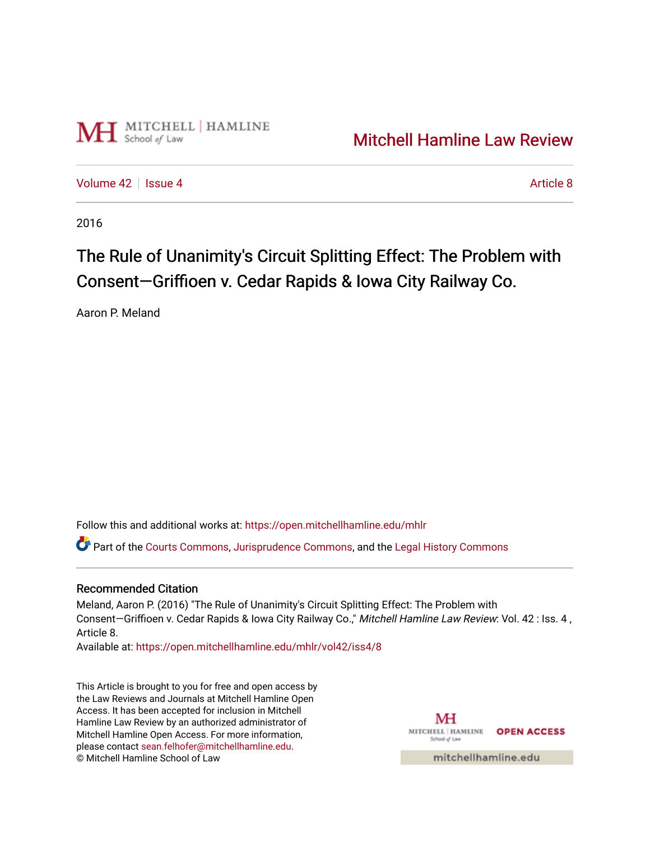

[Volume 42](https://open.mitchellhamline.edu/mhlr/vol42) | [Issue 4](https://open.mitchellhamline.edu/mhlr/vol42/iss4) [Article 8](https://open.mitchellhamline.edu/mhlr/vol42/iss4/8) Article 8

2016

# The Rule of Unanimity's Circuit Splitting Effect: The Problem with Consent—Griffioen v. Cedar Rapids & Iowa City Railway Co.

Aaron P. Meland

Follow this and additional works at: [https://open.mitchellhamline.edu/mhlr](https://open.mitchellhamline.edu/mhlr?utm_source=open.mitchellhamline.edu%2Fmhlr%2Fvol42%2Fiss4%2F8&utm_medium=PDF&utm_campaign=PDFCoverPages) 

Part of the [Courts Commons,](http://network.bepress.com/hgg/discipline/839?utm_source=open.mitchellhamline.edu%2Fmhlr%2Fvol42%2Fiss4%2F8&utm_medium=PDF&utm_campaign=PDFCoverPages) [Jurisprudence Commons](http://network.bepress.com/hgg/discipline/610?utm_source=open.mitchellhamline.edu%2Fmhlr%2Fvol42%2Fiss4%2F8&utm_medium=PDF&utm_campaign=PDFCoverPages), and the [Legal History Commons](http://network.bepress.com/hgg/discipline/904?utm_source=open.mitchellhamline.edu%2Fmhlr%2Fvol42%2Fiss4%2F8&utm_medium=PDF&utm_campaign=PDFCoverPages)

# Recommended Citation

Meland, Aaron P. (2016) "The Rule of Unanimity's Circuit Splitting Effect: The Problem with Consent-Griffioen v. Cedar Rapids & Iowa City Railway Co.," Mitchell Hamline Law Review: Vol. 42 : Iss. 4, Article 8.

Available at: [https://open.mitchellhamline.edu/mhlr/vol42/iss4/8](https://open.mitchellhamline.edu/mhlr/vol42/iss4/8?utm_source=open.mitchellhamline.edu%2Fmhlr%2Fvol42%2Fiss4%2F8&utm_medium=PDF&utm_campaign=PDFCoverPages) 

This Article is brought to you for free and open access by the Law Reviews and Journals at Mitchell Hamline Open Access. It has been accepted for inclusion in Mitchell Hamline Law Review by an authorized administrator of Mitchell Hamline Open Access. For more information, please contact [sean.felhofer@mitchellhamline.edu.](mailto:sean.felhofer@mitchellhamline.edu) © Mitchell Hamline School of Law

MH MITCHELL HAMLINE OPEN ACCESS School of Lav

mitchellhamline.edu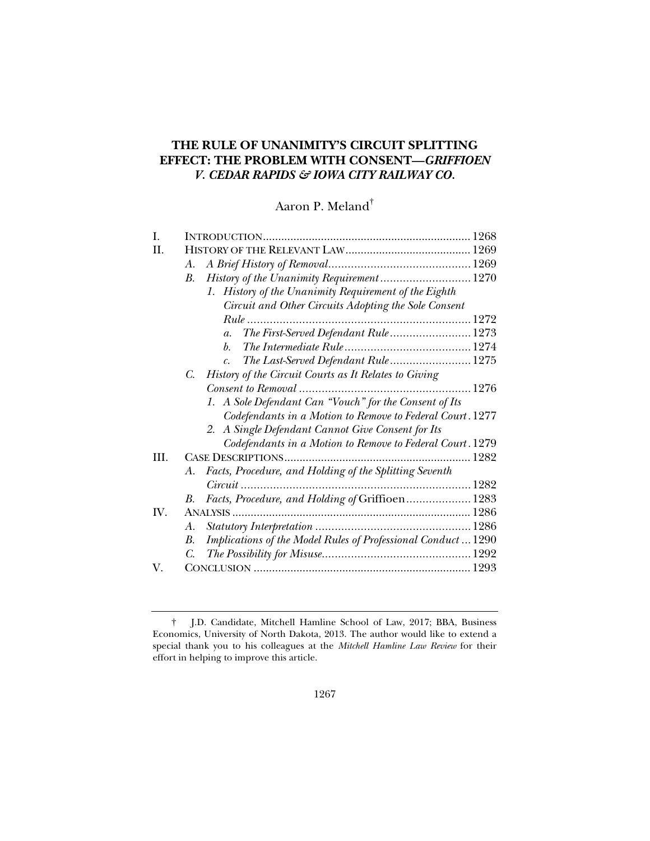# **THE RULE OF UNANIMITY'S CIRCUIT SPLITTING EFFECT: THE PROBLEM WITH CONSENT—***GRIFFIOEN V. CEDAR RAPIDS & IOWA CITY RAILWAY CO.*

Aaron P. Meland†

| Ι.   |                                                                      |
|------|----------------------------------------------------------------------|
| II.  |                                                                      |
|      | А.                                                                   |
|      | В.                                                                   |
|      | 1. History of the Unanimity Requirement of the Eighth                |
|      | Circuit and Other Circuits Adopting the Sole Consent                 |
|      |                                                                      |
|      | The First-Served Defendant Rule 1273<br>$\mathfrak{a}.$              |
|      | $b_{\cdot}$                                                          |
|      | The Last-Served Defendant Rule 1275                                  |
|      | History of the Circuit Courts as It Relates to Giving<br>$C_{\cdot}$ |
|      |                                                                      |
|      | 1. A Sole Defendant Can "Vouch" for the Consent of Its               |
|      | Codefendants in a Motion to Remove to Federal Court. 1277            |
|      | A Single Defendant Cannot Give Consent for Its<br>2.                 |
|      | Codefendants in a Motion to Remove to Federal Court. 1279            |
| III. |                                                                      |
|      | Facts, Procedure, and Holding of the Splitting Seventh<br>A.         |
|      |                                                                      |
|      | Facts, Procedure, and Holding of Griffioen 1283<br>В.                |
| IV.  |                                                                      |
|      | А.                                                                   |
|      | Implications of the Model Rules of Professional Conduct  1290<br>В.  |
|      | C.                                                                   |
| V.   |                                                                      |

† J.D. Candidate, Mitchell Hamline School of Law, 2017; BBA, Business Economics, University of North Dakota, 2013. The author would like to extend a special thank you to his colleagues at the *Mitchell Hamline Law Review* for their effort in helping to improve this article.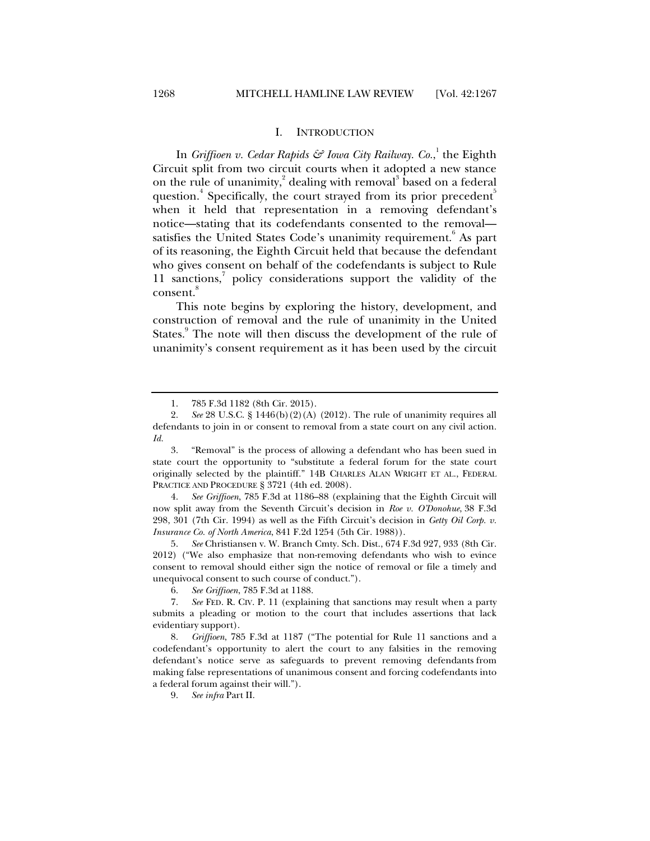#### I. INTRODUCTION

In *Griffioen v. Cedar Rapids & Iowa City Railway. Co.*,<sup>1</sup> the Eighth Circuit split from two circuit courts when it adopted a new stance on the rule of unanimity, $^{2}$  dealing with removal<sup>3</sup> based on a federal question.<sup>4</sup> Specifically, the court strayed from its prior precedent<sup>5</sup> when it held that representation in a removing defendant's notice—stating that its codefendants consented to the removal satisfies the United States Code's unanimity requirement. As part of its reasoning, the Eighth Circuit held that because the defendant who gives consent on behalf of the codefendants is subject to Rule 11 sanctions,<sup>7</sup> policy considerations support the validity of the consent.<sup>8</sup>

This note begins by exploring the history, development, and construction of removal and the rule of unanimity in the United States.<sup>9</sup> The note will then discuss the development of the rule of unanimity's consent requirement as it has been used by the circuit

 4. *See Griffioen*, 785 F.3d at 1186–88 (explaining that the Eighth Circuit will now split away from the Seventh Circuit's decision in *Roe v. O'Donohue*, 38 F.3d 298, 301 (7th Cir. 1994) as well as the Fifth Circuit's decision in *Getty Oil Corp. v. Insurance Co. of North America*, 841 F.2d 1254 (5th Cir. 1988)).

 5. *See* Christiansen v. W. Branch Cmty. Sch. Dist., 674 F.3d 927, 933 (8th Cir. 2012) ("We also emphasize that non-removing defendants who wish to evince consent to removal should either sign the notice of removal or file a timely and unequivocal consent to such course of conduct.").

6. *See Griffioen*, 785 F.3d at 1188.

 8. *Griffioen*, 785 F.3d at 1187 ("The potential for Rule 11 sanctions and a codefendant's opportunity to alert the court to any falsities in the removing defendant's notice serve as safeguards to prevent removing defendants from making false representations of unanimous consent and forcing codefendants into a federal forum against their will.").

9. *See infra* Part II.

 <sup>1. 785</sup> F.3d 1182 (8th Cir. 2015).

 <sup>2.</sup> *See* 28 U.S.C. § 1446(b)(2)(A) (2012). The rule of unanimity requires all defendants to join in or consent to removal from a state court on any civil action. *Id.* 

 <sup>3. &</sup>quot;Removal" is the process of allowing a defendant who has been sued in state court the opportunity to "substitute a federal forum for the state court originally selected by the plaintiff." 14B CHARLES ALAN WRIGHT ET AL., FEDERAL PRACTICE AND PROCEDURE § 3721 (4th ed. 2008).

 <sup>7.</sup> *See* FED. R. CIV. P. 11 (explaining that sanctions may result when a party submits a pleading or motion to the court that includes assertions that lack evidentiary support).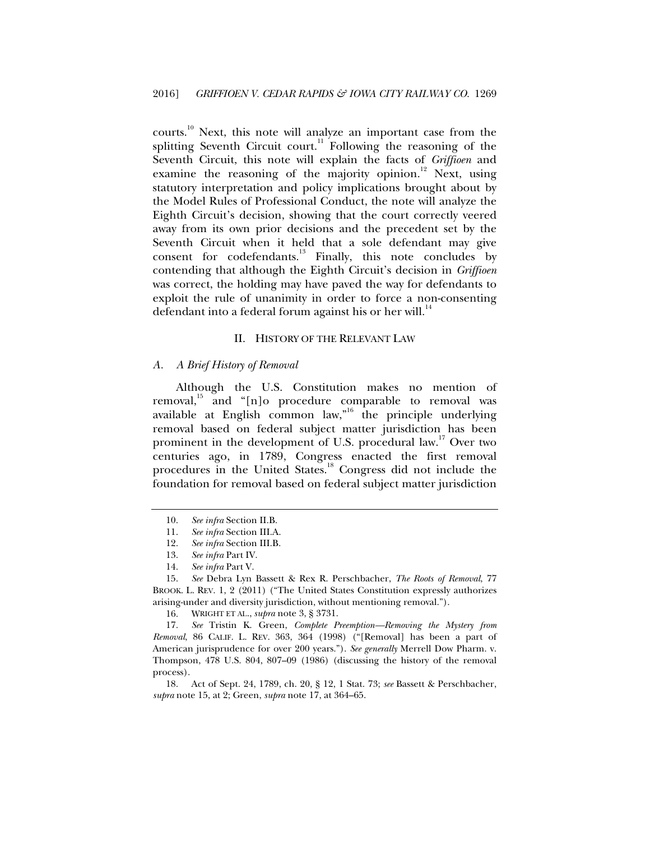courts.<sup>10</sup> Next, this note will analyze an important case from the splitting Seventh Circuit court.<sup>11</sup> Following the reasoning of the Seventh Circuit, this note will explain the facts of *Griffioen* and examine the reasoning of the majority opinion.<sup>12</sup> Next, using statutory interpretation and policy implications brought about by the Model Rules of Professional Conduct, the note will analyze the Eighth Circuit's decision, showing that the court correctly veered away from its own prior decisions and the precedent set by the Seventh Circuit when it held that a sole defendant may give consent for codefendants.<sup>13</sup> Finally, this note concludes by contending that although the Eighth Circuit's decision in *Griffioen* was correct, the holding may have paved the way for defendants to exploit the rule of unanimity in order to force a non-consenting defendant into a federal forum against his or her will.<sup>14</sup>

#### II. HISTORY OF THE RELEVANT LAW

## *A. A Brief History of Removal*

Although the U.S. Constitution makes no mention of removal,<sup>15</sup> and "[n]o procedure comparable to removal was available at English common law,"<sup>16</sup> the principle underlying removal based on federal subject matter jurisdiction has been prominent in the development of U.S. procedural law.<sup>17</sup> Over two centuries ago, in 1789, Congress enacted the first removal procedures in the United States.<sup>18</sup> Congress did not include the foundation for removal based on federal subject matter jurisdiction

- 11. *See infra* Section III.A.
- 12. *See infra* Section III.B.
- 13. *See infra* Part IV.
- 14. *See infra* Part V.

16. WRIGHT ET AL., *supra* note 3, § 3731.

 17. *See* Tristin K. Green, *Complete Preemption—Removing the Mystery from Removal*, 86 CALIF. L. REV. 363, 364 (1998) ("[Removal] has been a part of American jurisprudence for over 200 years."). *See generally* Merrell Dow Pharm. v. Thompson, 478 U.S. 804, 807–09 (1986) (discussing the history of the removal process).

 18. Act of Sept. 24, 1789, ch. 20, § 12, 1 Stat. 73; *see* Bassett & Perschbacher, *supra* note 15, at 2; Green, *supra* note 17, at 364–65.

 <sup>10.</sup> *See infra* Section II.B.

 <sup>15.</sup> *See* Debra Lyn Bassett & Rex R. Perschbacher, *The Roots of Removal*, 77 BROOK. L. REV. 1, 2 (2011) ("The United States Constitution expressly authorizes arising-under and diversity jurisdiction, without mentioning removal.").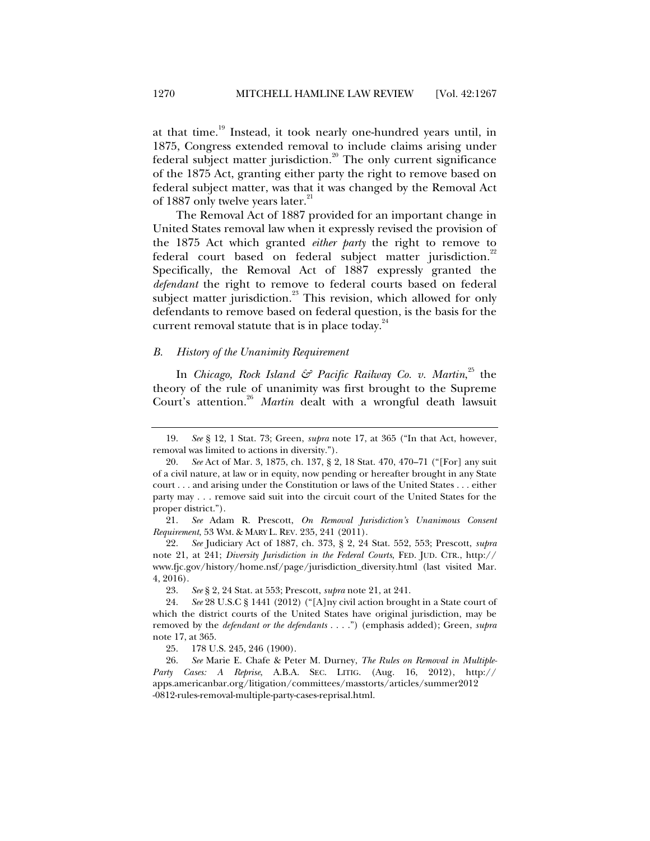at that time.<sup>19</sup> Instead, it took nearly one-hundred years until, in 1875, Congress extended removal to include claims arising under federal subject matter jurisdiction. $20$  The only current significance of the 1875 Act, granting either party the right to remove based on federal subject matter, was that it was changed by the Removal Act of 1887 only twelve years later.<sup>21</sup>

The Removal Act of 1887 provided for an important change in United States removal law when it expressly revised the provision of the 1875 Act which granted *either party* the right to remove to federal court based on federal subject matter jurisdiction.<sup>22</sup> Specifically, the Removal Act of 1887 expressly granted the *defendant* the right to remove to federal courts based on federal subject matter jurisdiction. $^{23}$  This revision, which allowed for only defendants to remove based on federal question, is the basis for the current removal statute that is in place today. $24$ 

## *B. History of the Unanimity Requirement*

In *Chicago, Rock Island & Pacific Railway Co. v. Martin*, 25 the theory of the rule of unanimity was first brought to the Supreme Court's attention.<sup>26</sup> Martin dealt with a wrongful death lawsuit

 21. *See* Adam R. Prescott, *On Removal Jurisdiction's Unanimous Consent Requirement*, 53 WM. & MARY L. REV. 235, 241 (2011).

 22. *See* Judiciary Act of 1887, ch. 373, § 2, 24 Stat. 552, 553; Prescott, *supra*  note 21, at 241; *Diversity Jurisdiction in the Federal Courts*, FED. JUD. CTR., http:// www.fjc.gov/history/home.nsf/page/jurisdiction\_diversity.html (last visited Mar. 4, 2016).

23. *See* § 2, 24 Stat. at 553; Prescott, *supra* note 21, at 241.

 <sup>19.</sup> *See* § 12, 1 Stat. 73; Green, *supra* note 17, at 365 ("In that Act, however, removal was limited to actions in diversity.").

 <sup>20.</sup> *See* Act of Mar. 3, 1875, ch. 137, § 2, 18 Stat. 470, 470–71 ("[For] any suit of a civil nature, at law or in equity, now pending or hereafter brought in any State court . . . and arising under the Constitution or laws of the United States . . . either party may . . . remove said suit into the circuit court of the United States for the proper district.").

 <sup>24.</sup> *See* 28 U.S.C § 1441 (2012) ("[A]ny civil action brought in a State court of which the district courts of the United States have original jurisdiction, may be removed by the *defendant or the defendants* . . . .") (emphasis added); Green, *supra* note 17, at 365.

 <sup>25. 178</sup> U.S. 245, 246 (1900).

 <sup>26.</sup> *See* Marie E. Chafe & Peter M. Durney, *The Rules on Removal in Multiple-Party Cases: A Reprise*, A.B.A. SEC. LITIG. (Aug. 16, 2012), http:// apps.americanbar.org/litigation/committees/masstorts/articles/summer2012 -0812-rules-removal-multiple-party-cases-reprisal.html.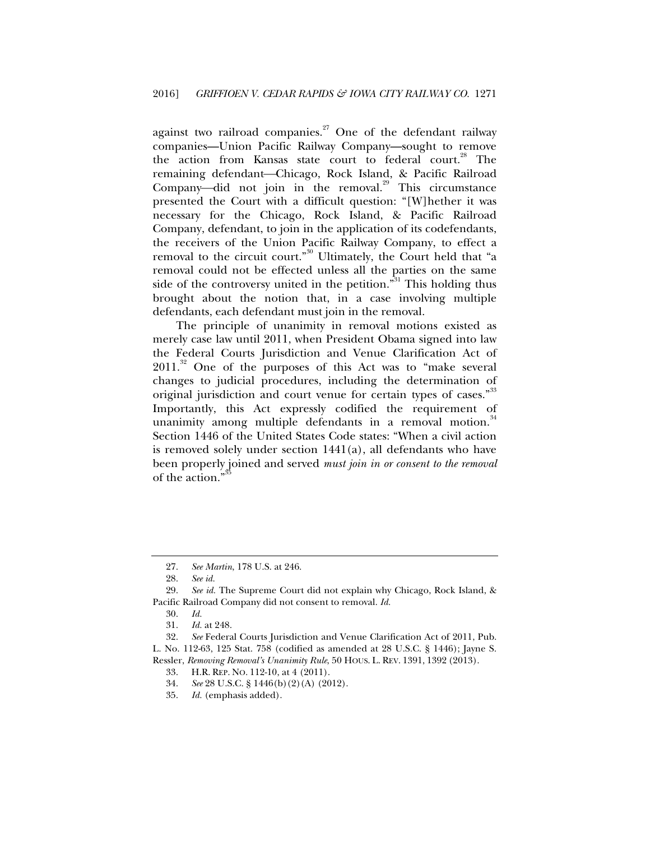against two railroad companies. $27$  One of the defendant railway companies—Union Pacific Railway Company—sought to remove the action from Kansas state court to federal court.<sup>28</sup> The remaining defendant-Chicago, Rock Island, & Pacific Railroad Company-did not join in the removal.<sup>29</sup> This circumstance presented the Court with a difficult question: "[W]hether it was necessary for the Chicago, Rock Island, & Pacific Railroad Company, defendant, to join in the application of its codefendants, the receivers of the Union Pacific Railway Company, to effect a removal to the circuit court."<sup>30</sup> Ultimately, the Court held that "a removal could not be effected unless all the parties on the same side of the controversy united in the petition."<sup>31</sup> This holding thus brought about the notion that, in a case involving multiple defendants, each defendant must join in the removal.

The principle of unanimity in removal motions existed as merely case law until 2011, when President Obama signed into law the Federal Courts Jurisdiction and Venue Clarification Act of  $2011.^{32}$  One of the purposes of this Act was to "make several changes to judicial procedures, including the determination of original jurisdiction and court venue for certain types of cases."<sup>33</sup> Importantly, this Act expressly codified the requirement of unanimity among multiple defendants in a removal motion.<sup>34</sup> Section 1446 of the United States Code states: "When a civil action is removed solely under section  $1441(a)$ , all defendants who have been properly joined and served *must join in or consent to the removal* of the action.'

 32. *See* Federal Courts Jurisdiction and Venue Clarification Act of 2011, Pub. L. No. 112-63, 125 Stat. 758 (codified as amended at 28 U.S.C. § 1446); Jayne S. Ressler, *Removing Removal's Unanimity Rule*, 50 HOUS. L. REV. 1391, 1392 (2013).

 <sup>27.</sup> *See Martin*, 178 U.S. at 246.

 <sup>28.</sup> *See id.*

 <sup>29.</sup> *See id.* The Supreme Court did not explain why Chicago, Rock Island, & Pacific Railroad Company did not consent to removal. *Id.* 

 <sup>30.</sup> *Id.* 

 <sup>31.</sup> *Id.* at 248.

 <sup>33.</sup> H.R. REP. NO. 112-10, at 4 (2011).

 <sup>34.</sup> *See* 28 U.S.C. § 1446(b)(2)(A) (2012).

 <sup>35.</sup> *Id.* (emphasis added).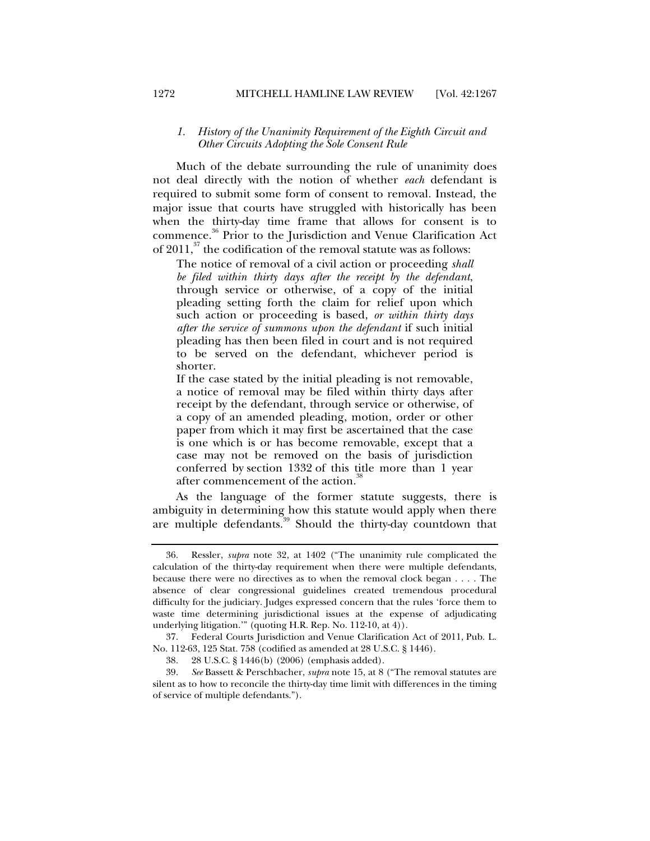## *1. History of the Unanimity Requirement of the Eighth Circuit and Other Circuits Adopting the Sole Consent Rule*

Much of the debate surrounding the rule of unanimity does not deal directly with the notion of whether *each* defendant is required to submit some form of consent to removal. Instead, the major issue that courts have struggled with historically has been when the thirty-day time frame that allows for consent is to commence.36 Prior to the Jurisdiction and Venue Clarification Act of  $2011$ ,<sup>37</sup>, the codification of the removal statute was as follows:

The notice of removal of a civil action or proceeding *shall be filed within thirty days after the receipt by the defendant*, through service or otherwise, of a copy of the initial pleading setting forth the claim for relief upon which such action or proceeding is based, *or within thirty days after the service of summons upon the defendant* if such initial pleading has then been filed in court and is not required to be served on the defendant, whichever period is shorter.

If the case stated by the initial pleading is not removable, a notice of removal may be filed within thirty days after receipt by the defendant, through service or otherwise, of a copy of an amended pleading, motion, order or other paper from which it may first be ascertained that the case is one which is or has become removable, except that a case may not be removed on the basis of jurisdiction conferred by section 1332 of this title more than 1 year after commencement of the action.<sup>3</sup>

As the language of the former statute suggests, there is ambiguity in determining how this statute would apply when there are multiple defendants.<sup>39</sup> Should the thirty-day countdown that

 <sup>36.</sup> Ressler, *supra* note 32, at 1402 ("The unanimity rule complicated the calculation of the thirty-day requirement when there were multiple defendants, because there were no directives as to when the removal clock began . . . . The absence of clear congressional guidelines created tremendous procedural difficulty for the judiciary. Judges expressed concern that the rules 'force them to waste time determining jurisdictional issues at the expense of adjudicating underlying litigation.'" (quoting H.R. Rep. No. 112-10, at 4)).

 <sup>37.</sup> Federal Courts Jurisdiction and Venue Clarification Act of 2011, Pub. L. No. 112-63, 125 Stat. 758 (codified as amended at 28 U.S.C. § 1446).

 <sup>38. 28</sup> U.S.C. § 1446(b) (2006) (emphasis added).

 <sup>39.</sup> *See* Bassett & Perschbacher, *supra* note 15, at 8 ("The removal statutes are silent as to how to reconcile the thirty-day time limit with differences in the timing of service of multiple defendants.").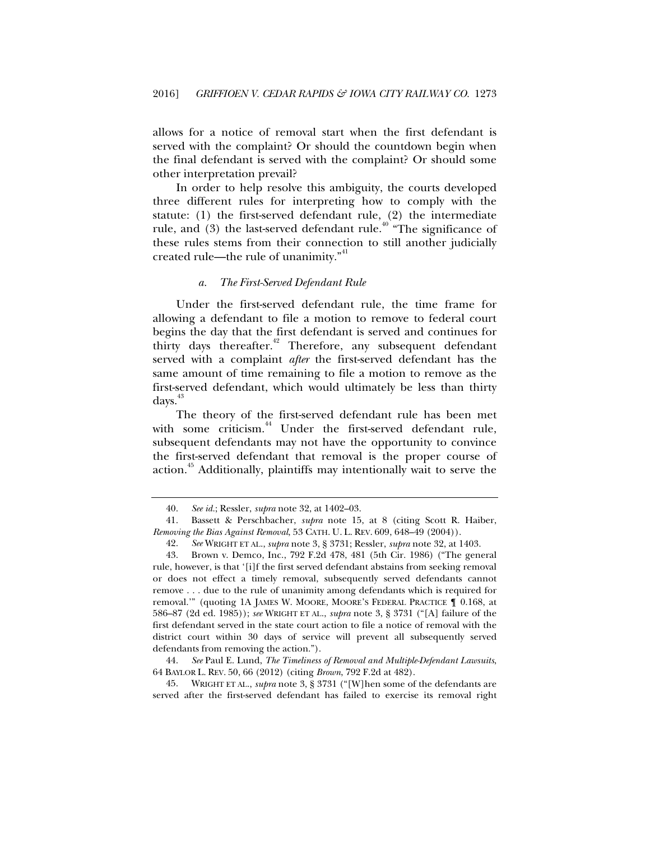allows for a notice of removal start when the first defendant is served with the complaint? Or should the countdown begin when the final defendant is served with the complaint? Or should some other interpretation prevail?

In order to help resolve this ambiguity, the courts developed three different rules for interpreting how to comply with the statute: (1) the first-served defendant rule, (2) the intermediate rule, and (3) the last-served defendant rule.<sup>40</sup> "The significance of these rules stems from their connection to still another judicially created rule—the rule of unanimity."<sup>41</sup>

#### *a. The First-Served Defendant Rule*

Under the first-served defendant rule, the time frame for allowing a defendant to file a motion to remove to federal court begins the day that the first defendant is served and continues for thirty days thereafter.<sup>42</sup> Therefore, any subsequent defendant served with a complaint *after* the first-served defendant has the same amount of time remaining to file a motion to remove as the first-served defendant, which would ultimately be less than thirty days.<sup>43</sup>

The theory of the first-served defendant rule has been met with some criticism.<sup>44</sup> Under the first-served defendant rule, subsequent defendants may not have the opportunity to convince the first-served defendant that removal is the proper course of action.45 Additionally, plaintiffs may intentionally wait to serve the

 44. *See* Paul E. Lund, *The Timeliness of Removal and Multiple-Defendant Lawsuits*, 64 BAYLOR L. REV. 50, 66 (2012) (citing *Brown*, 792 F.2d at 482).

 45. WRIGHT ET AL., *supra* note 3, § 3731 ("[W]hen some of the defendants are served after the first-served defendant has failed to exercise its removal right

 <sup>40.</sup> *See id.*; Ressler, *supra* note 32, at 1402–03.

 <sup>41.</sup> Bassett & Perschbacher, *supra* note 15, at 8 (citing Scott R. Haiber, *Removing the Bias Against Removal*, 53 CATH. U. L. REV. 609, 648–49 (2004)).

 <sup>42.</sup> *See* WRIGHT ET AL., *supra* note 3, § 3731; Ressler, *supra* note 32, at 1403.

 <sup>43.</sup> Brown v. Demco, Inc., 792 F.2d 478, 481 (5th Cir. 1986) ("The general rule, however, is that '[i]f the first served defendant abstains from seeking removal or does not effect a timely removal, subsequently served defendants cannot remove . . . due to the rule of unanimity among defendants which is required for removal.'" (quoting 1A JAMES W. MOORE, MOORE'S FEDERAL PRACTICE ¶ 0.168, at 586–87 (2d ed. 1985)); *see* WRIGHT ET AL., *supra* note 3, § 3731 ("[A] failure of the first defendant served in the state court action to file a notice of removal with the district court within 30 days of service will prevent all subsequently served defendants from removing the action.").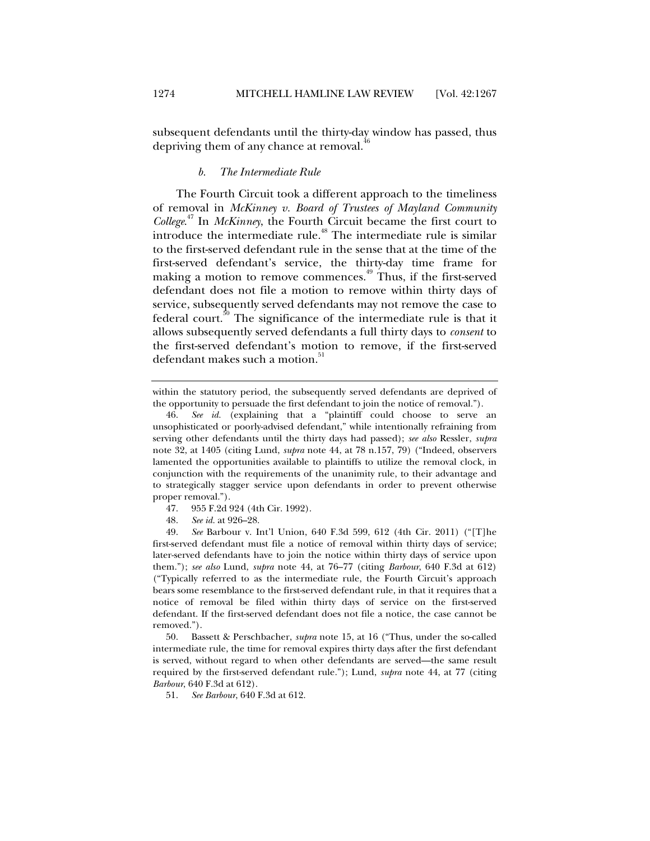subsequent defendants until the thirty-day window has passed, thus depriving them of any chance at removal.<sup>4</sup>

## *b. The Intermediate Rule*

The Fourth Circuit took a different approach to the timeliness of removal in *McKinney v. Board of Trustees of Mayland Community College*. 47 In *McKinney*, the Fourth Circuit became the first court to introduce the intermediate rule.<sup>48</sup> The intermediate rule is similar to the first-served defendant rule in the sense that at the time of the first-served defendant's service, the thirty-day time frame for making a motion to remove commences.<sup>49</sup> Thus, if the first-served defendant does not file a motion to remove within thirty days of service, subsequently served defendants may not remove the case to federal court.<sup>50</sup> The significance of the intermediate rule is that it allows subsequently served defendants a full thirty days to *consent* to the first-served defendant's motion to remove, if the first-served defendant makes such a motion.<sup>51</sup>

- 47. 955 F.2d 924 (4th Cir. 1992).
- 48. *See id.* at 926–28.

 49. *See* Barbour v. Int'l Union, 640 F.3d 599, 612 (4th Cir. 2011) ("[T]he first-served defendant must file a notice of removal within thirty days of service; later-served defendants have to join the notice within thirty days of service upon them."); *see also* Lund, *supra* note 44, at 76–77 (citing *Barbour*, 640 F.3d at 612) ("Typically referred to as the intermediate rule, the Fourth Circuit's approach bears some resemblance to the first-served defendant rule, in that it requires that a notice of removal be filed within thirty days of service on the first-served defendant. If the first-served defendant does not file a notice, the case cannot be removed.").

 50. Bassett & Perschbacher, *supra* note 15, at 16 ("Thus, under the so-called intermediate rule, the time for removal expires thirty days after the first defendant is served, without regard to when other defendants are served—the same result required by the first-served defendant rule."); Lund, *supra* note 44, at 77 (citing *Barbour*, 640 F.3d at 612).

51. *See Barbour*, 640 F.3d at 612.

within the statutory period, the subsequently served defendants are deprived of the opportunity to persuade the first defendant to join the notice of removal.").

 <sup>46.</sup> *See id.* (explaining that a "plaintiff could choose to serve an unsophisticated or poorly-advised defendant," while intentionally refraining from serving other defendants until the thirty days had passed); *see also* Ressler, *supra*  note 32, at 1405 (citing Lund, *supra* note 44, at 78 n.157, 79) ("Indeed, observers lamented the opportunities available to plaintiffs to utilize the removal clock, in conjunction with the requirements of the unanimity rule, to their advantage and to strategically stagger service upon defendants in order to prevent otherwise proper removal.").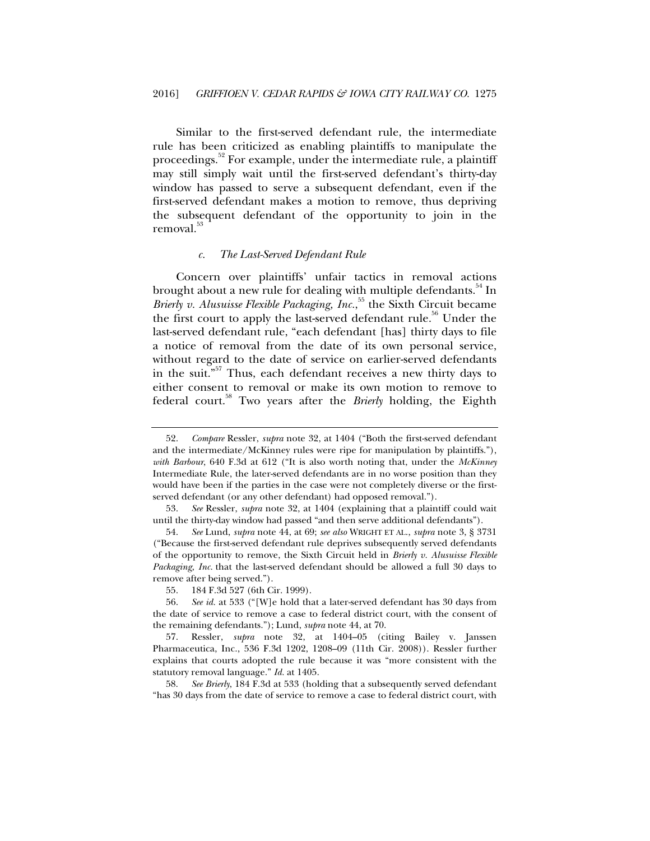Similar to the first-served defendant rule, the intermediate rule has been criticized as enabling plaintiffs to manipulate the proceedings.<sup>52</sup> For example, under the intermediate rule, a plaintiff may still simply wait until the first-served defendant's thirty-day window has passed to serve a subsequent defendant, even if the first-served defendant makes a motion to remove, thus depriving the subsequent defendant of the opportunity to join in the removal.<sup>53</sup>

## *c. The Last-Served Defendant Rule*

Concern over plaintiffs' unfair tactics in removal actions brought about a new rule for dealing with multiple defendants.<sup>34</sup> In *Brierly v. Alusuisse Flexible Packaging, Inc.*, 55 the Sixth Circuit became the first court to apply the last-served defendant rule.<sup>56</sup> Under the last-served defendant rule, "each defendant [has] thirty days to file a notice of removal from the date of its own personal service, without regard to the date of service on earlier-served defendants in the suit."57 Thus, each defendant receives a new thirty days to either consent to removal or make its own motion to remove to federal court.58 Two years after the *Brierly* holding, the Eighth

 <sup>52.</sup> *Compare* Ressler, *supra* note 32, at 1404 ("Both the first-served defendant and the intermediate/McKinney rules were ripe for manipulation by plaintiffs."), *with Barbour*, 640 F.3d at 612 ("It is also worth noting that, under the *McKinney*  Intermediate Rule, the later-served defendants are in no worse position than they would have been if the parties in the case were not completely diverse or the firstserved defendant (or any other defendant) had opposed removal.").

 <sup>53.</sup> *See* Ressler, *supra* note 32, at 1404 (explaining that a plaintiff could wait until the thirty-day window had passed "and then serve additional defendants").

 <sup>54.</sup> *See* Lund, *supra* note 44, at 69; *see also* WRIGHT ET AL., *supra* note 3, § 3731 ("Because the first-served defendant rule deprives subsequently served defendants of the opportunity to remove, the Sixth Circuit held in *Brierly v. Alusuisse Flexible Packaging, Inc.* that the last-served defendant should be allowed a full 30 days to remove after being served.").

 <sup>55. 184</sup> F.3d 527 (6th Cir. 1999).

 <sup>56.</sup> *See id.* at 533 ("[W]e hold that a later-served defendant has 30 days from the date of service to remove a case to federal district court, with the consent of the remaining defendants."); Lund, *supra* note 44, at 70.

 <sup>57.</sup> Ressler, *supra* note 32, at 1404–05 (citing Bailey v. Janssen Pharmaceutica, Inc., 536 F.3d 1202, 1208–09 (11th Cir. 2008)). Ressler further explains that courts adopted the rule because it was "more consistent with the statutory removal language." *Id.* at 1405.

 <sup>58.</sup> *See Brierly*, 184 F.3d at 533 (holding that a subsequently served defendant "has 30 days from the date of service to remove a case to federal district court, with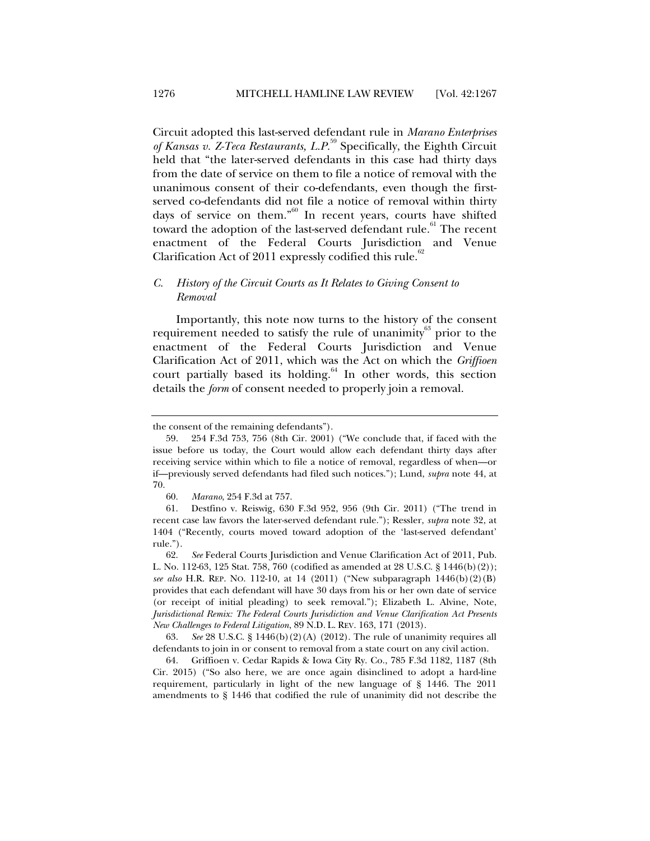Circuit adopted this last-served defendant rule in *Marano Enterprises of Kansas v. Z-Teca Restaurants, L.P.*59 Specifically, the Eighth Circuit held that "the later-served defendants in this case had thirty days from the date of service on them to file a notice of removal with the unanimous consent of their co-defendants, even though the firstserved co-defendants did not file a notice of removal within thirty days of service on them."<sup>60</sup> In recent years, courts have shifted toward the adoption of the last-served defendant rule.<sup>61</sup> The recent enactment of the Federal Courts Jurisdiction and Venue Clarification Act of 2011 expressly codified this rule.<sup>62</sup>

## *C. History of the Circuit Courts as It Relates to Giving Consent to Removal*

Importantly, this note now turns to the history of the consent requirement needed to satisfy the rule of unanimity $63$  prior to the enactment of the Federal Courts Jurisdiction and Venue Clarification Act of 2011, which was the Act on which the *Griffioen*  court partially based its holding.<sup>64</sup> In other words, this section details the *form* of consent needed to properly join a removal.

the consent of the remaining defendants").

 <sup>59. 254</sup> F.3d 753, 756 (8th Cir. 2001) ("We conclude that, if faced with the issue before us today, the Court would allow each defendant thirty days after receiving service within which to file a notice of removal, regardless of when—or if—previously served defendants had filed such notices."); Lund, *supra* note 44, at 70.

 <sup>60.</sup> *Marano*, 254 F.3d at 757.

 <sup>61.</sup> Destfino v. Reiswig, 630 F.3d 952, 956 (9th Cir. 2011) ("The trend in recent case law favors the later-served defendant rule."); Ressler, *supra* note 32, at 1404 ("Recently, courts moved toward adoption of the 'last-served defendant' rule.").

 <sup>62.</sup> *See* Federal Courts Jurisdiction and Venue Clarification Act of 2011, Pub. L. No. 112-63, 125 Stat. 758, 760 (codified as amended at 28 U.S.C. § 1446(b)(2)); *see also* H.R. REP. NO. 112-10, at 14 (2011) ("New subparagraph 1446(b)(2)(B) provides that each defendant will have 30 days from his or her own date of service (or receipt of initial pleading) to seek removal."); Elizabeth L. Alvine, Note, *Jurisdictional Remix: The Federal Courts Jurisdiction and Venue Clarification Act Presents New Challenges to Federal Litigation*, 89 N.D. L. REV. 163, 171 (2013).

 <sup>63.</sup> *See* 28 U.S.C. § 1446(b)(2)(A) (2012). The rule of unanimity requires all defendants to join in or consent to removal from a state court on any civil action.

 <sup>64.</sup> Griffioen v. Cedar Rapids & Iowa City Ry. Co., 785 F.3d 1182, 1187 (8th Cir. 2015) ("So also here, we are once again disinclined to adopt a hard-line requirement, particularly in light of the new language of § 1446. The 2011 amendments to § 1446 that codified the rule of unanimity did not describe the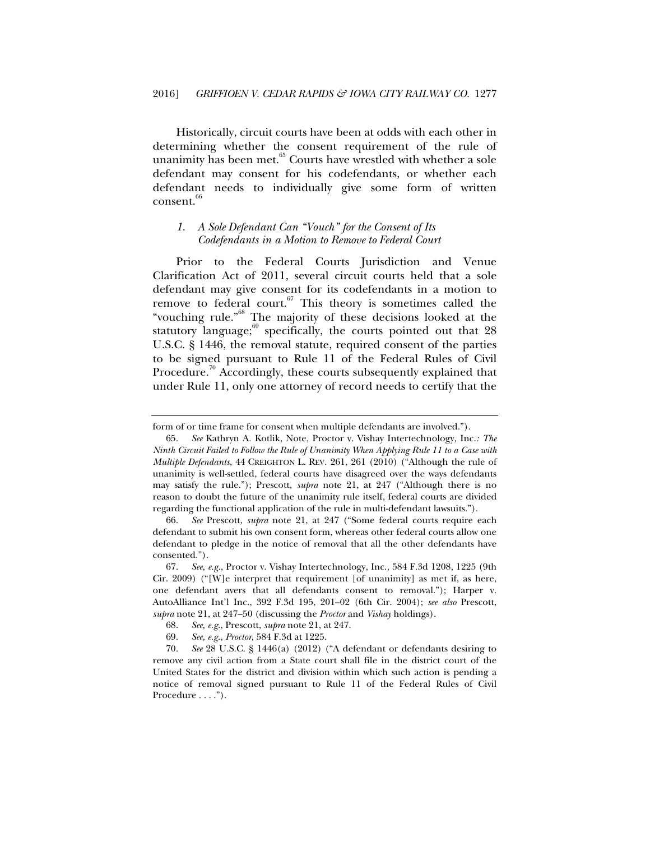Historically, circuit courts have been at odds with each other in determining whether the consent requirement of the rule of unanimity has been met.<sup>55</sup> Courts have wrestled with whether a sole defendant may consent for his codefendants, or whether each defendant needs to individually give some form of written consent.<sup>66</sup>

## *1. A Sole Defendant Can "Vouch" for the Consent of Its Codefendants in a Motion to Remove to Federal Court*

Prior to the Federal Courts Jurisdiction and Venue Clarification Act of 2011, several circuit courts held that a sole defendant may give consent for its codefendants in a motion to remove to federal court.<sup>67</sup> This theory is sometimes called the "vouching rule."68 The majority of these decisions looked at the statutory language;  $\frac{69}{5}$  specifically, the courts pointed out that 28 U.S.C. § 1446, the removal statute, required consent of the parties to be signed pursuant to Rule 11 of the Federal Rules of Civil Procedure.<sup>70</sup> Accordingly, these courts subsequently explained that under Rule 11, only one attorney of record needs to certify that the

69. *See, e.g.*, *Proctor*, 584 F.3d at 1225.

form of or time frame for consent when multiple defendants are involved.").

 <sup>65.</sup> *See* Kathryn A. Kotlik, Note, Proctor v. Vishay Intertechnology, Inc.*: The Ninth Circuit Failed to Follow the Rule of Unanimity When Applying Rule 11 to a Case with Multiple Defendants*, 44 CREIGHTON L. REV. 261, 261 (2010) ("Although the rule of unanimity is well-settled, federal courts have disagreed over the ways defendants may satisfy the rule."); Prescott, *supra* note 21, at 247 ("Although there is no reason to doubt the future of the unanimity rule itself, federal courts are divided regarding the functional application of the rule in multi-defendant lawsuits.").

 <sup>66.</sup> *See* Prescott, *supra* note 21, at 247 ("Some federal courts require each defendant to submit his own consent form, whereas other federal courts allow one defendant to pledge in the notice of removal that all the other defendants have consented.").

 <sup>67.</sup> *See, e.g.*, Proctor v. Vishay Intertechnology, Inc., 584 F.3d 1208, 1225 (9th Cir. 2009) ("[W]e interpret that requirement [of unanimity] as met if, as here, one defendant avers that all defendants consent to removal."); Harper v. AutoAlliance Int'l Inc., 392 F.3d 195, 201–02 (6th Cir. 2004); *see also* Prescott, *supra* note 21, at 247–50 (discussing the *Proctor* and *Vishay* holdings).

 <sup>68.</sup> *See, e.g.*, Prescott, *supra* note 21, at 247.

 <sup>70.</sup> *See* 28 U.S.C. § 1446(a) (2012) ("A defendant or defendants desiring to remove any civil action from a State court shall file in the district court of the United States for the district and division within which such action is pending a notice of removal signed pursuant to Rule 11 of the Federal Rules of Civil Procedure . . . .").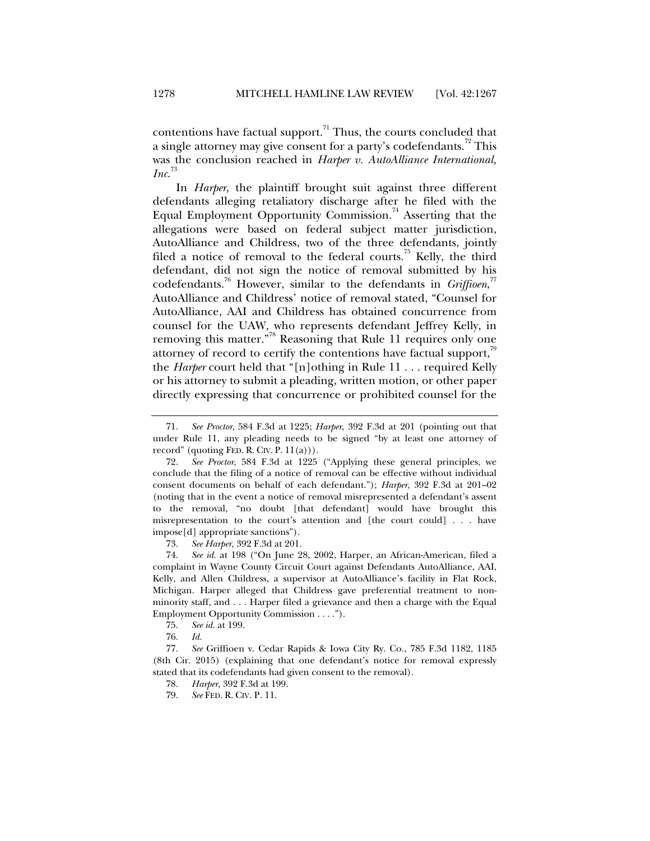contentions have factual support.<sup>71</sup> Thus, the courts concluded that a single attorney may give consent for a party's codefendants.<sup>72</sup> This was the conclusion reached in *Harper v. AutoAlliance International, Inc*. 73

In *Harper*, the plaintiff brought suit against three different defendants alleging retaliatory discharge after he filed with the Equal Employment Opportunity Commission.<sup>74</sup> Asserting that the allegations were based on federal subject matter jurisdiction, AutoAlliance and Childress, two of the three defendants, jointly filed a notice of removal to the federal courts.<sup>75</sup> Kelly, the third defendant, did not sign the notice of removal submitted by his codefendants.<sup>76</sup> However, similar to the defendants in *Griffioen*,<sup>77</sup> AutoAlliance and Childress' notice of removal stated, "Counsel for AutoAlliance, AAI and Childress has obtained concurrence from counsel for the UAW, who represents defendant Jeffrey Kelly, in removing this matter."<sup>78</sup> Reasoning that Rule 11 requires only one attorney of record to certify the contentions have factual support, $\beta$ the *Harper* court held that "[n]othing in Rule 11 . . . required Kelly or his attorney to submit a pleading, written motion, or other paper directly expressing that concurrence or prohibited counsel for the

73. *See Harper*, 392 F.3d at 201.

 74. *See id.* at 198 ("On June 28, 2002, Harper, an African-American, filed a complaint in Wayne County Circuit Court against Defendants AutoAlliance, AAI, Kelly, and Allen Childress, a supervisor at AutoAlliance's facility in Flat Rock, Michigan. Harper alleged that Childress gave preferential treatment to nonminority staff, and . . . Harper filed a grievance and then a charge with the Equal Employment Opportunity Commission . . . .").

- 78. *Harper*, 392 F.3d at 199.
- 79. *See* FED. R. CIV. P. 11.

 <sup>71.</sup> *See Proctor*, 584 F.3d at 1225; *Harper*, 392 F.3d at 201 (pointing out that under Rule 11, any pleading needs to be signed "by at least one attorney of record" (quoting FED. R. CIV. P.  $11(a)$ )).

 <sup>72.</sup> *See Proctor*, 584 F.3d at 1225 ("Applying these general principles, we conclude that the filing of a notice of removal can be effective without individual consent documents on behalf of each defendant."); *Harper*, 392 F.3d at 201–02 (noting that in the event a notice of removal misrepresented a defendant's assent to the removal, "no doubt [that defendant] would have brought this misrepresentation to the court's attention and [the court could] . . . have impose[d] appropriate sanctions").

 <sup>75.</sup> *See id.* at 199.

 <sup>76.</sup> *Id.* 

 <sup>77.</sup> *See* Griffioen v. Cedar Rapids & Iowa City Ry. Co., 785 F.3d 1182, 1185 (8th Cir. 2015) (explaining that one defendant's notice for removal expressly stated that its codefendants had given consent to the removal).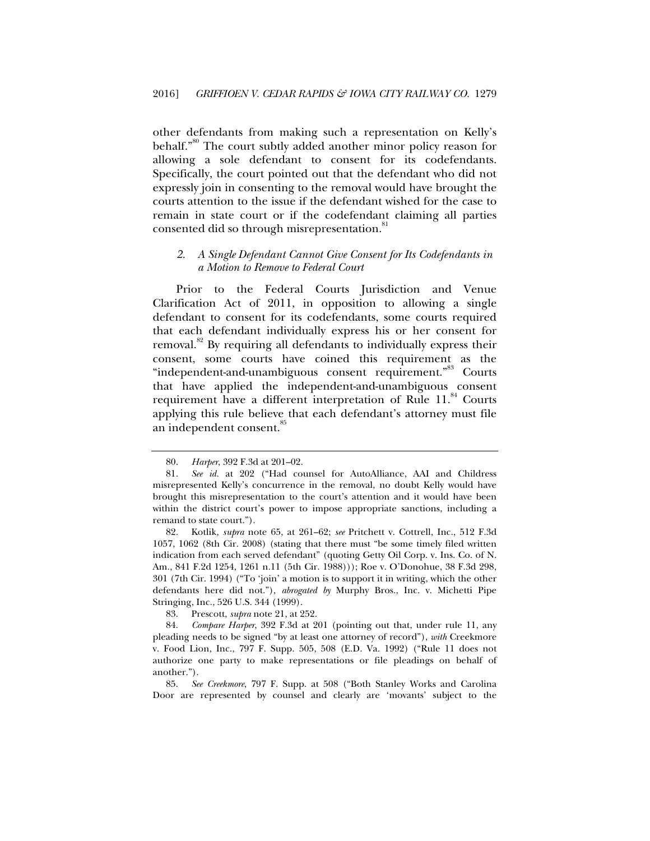other defendants from making such a representation on Kelly's behalf."<sup>80</sup> The court subtly added another minor policy reason for allowing a sole defendant to consent for its codefendants. Specifically, the court pointed out that the defendant who did not expressly join in consenting to the removal would have brought the courts attention to the issue if the defendant wished for the case to remain in state court or if the codefendant claiming all parties consented did so through misrepresentation.<sup>81</sup>

## *2. A Single Defendant Cannot Give Consent for Its Codefendants in a Motion to Remove to Federal Court*

Prior to the Federal Courts Jurisdiction and Venue Clarification Act of 2011, in opposition to allowing a single defendant to consent for its codefendants, some courts required that each defendant individually express his or her consent for removal.<sup>82</sup> By requiring all defendants to individually express their consent, some courts have coined this requirement as the "independent-and-unambiguous consent requirement."<sup>83</sup> Courts that have applied the independent-and-unambiguous consent requirement have a different interpretation of Rule 11.<sup>84</sup> Courts applying this rule believe that each defendant's attorney must file an independent consent.<sup>85</sup>

83. Prescott, *supra* note 21, at 252.

 <sup>80.</sup> *Harper*, 392 F.3d at 201–02.

 <sup>81.</sup> *See id.* at 202 ("Had counsel for AutoAlliance, AAI and Childress misrepresented Kelly's concurrence in the removal, no doubt Kelly would have brought this misrepresentation to the court's attention and it would have been within the district court's power to impose appropriate sanctions, including a remand to state court.").

 <sup>82.</sup> Kotlik, *supra* note 65, at 261–62; *see* Pritchett v. Cottrell, Inc., 512 F.3d 1057, 1062 (8th Cir. 2008) (stating that there must "be some timely filed written indication from each served defendant" (quoting Getty Oil Corp. v. Ins. Co. of N. Am., 841 F.2d 1254, 1261 n.11 (5th Cir. 1988))); Roe v. O'Donohue, 38 F.3d 298, 301 (7th Cir. 1994) ("To 'join' a motion is to support it in writing, which the other defendants here did not."), *abrogated by* Murphy Bros., Inc. v. Michetti Pipe Stringing, Inc., 526 U.S. 344 (1999).

 <sup>84.</sup> *Compare Harper*, 392 F.3d at 201 (pointing out that, under rule 11, any pleading needs to be signed "by at least one attorney of record"), *with* Creekmore v. Food Lion, Inc., 797 F. Supp. 505, 508 (E.D. Va. 1992) ("Rule 11 does not authorize one party to make representations or file pleadings on behalf of another.").

 <sup>85.</sup> *See Creekmore*, 797 F. Supp. at 508 ("Both Stanley Works and Carolina Door are represented by counsel and clearly are 'movants' subject to the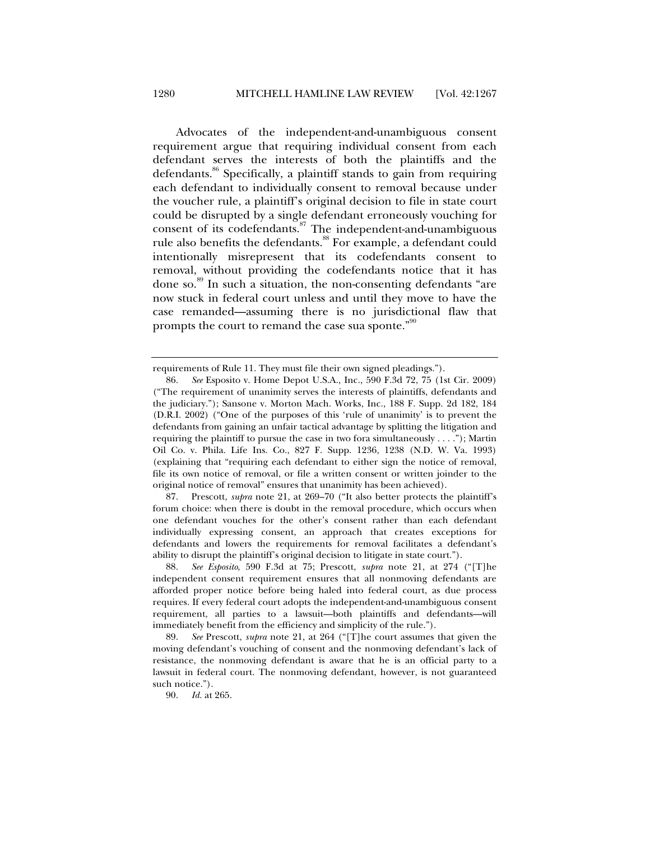Advocates of the independent-and-unambiguous consent requirement argue that requiring individual consent from each defendant serves the interests of both the plaintiffs and the defendants.<sup>86</sup> Specifically, a plaintiff stands to gain from requiring each defendant to individually consent to removal because under the voucher rule, a plaintiff's original decision to file in state court could be disrupted by a single defendant erroneously vouching for consent of its codefendants.<sup>87</sup> The independent-and-unambiguous rule also benefits the defendants.<sup>88</sup> For example, a defendant could intentionally misrepresent that its codefendants consent to removal, without providing the codefendants notice that it has done so.<sup>89</sup> In such a situation, the non-consenting defendants "are now stuck in federal court unless and until they move to have the case remanded—assuming there is no jurisdictional flaw that prompts the court to remand the case sua sponte."<sup>90</sup>

 87. Prescott, *supra* note 21, at 269–70 ("It also better protects the plaintiff's forum choice: when there is doubt in the removal procedure, which occurs when one defendant vouches for the other's consent rather than each defendant individually expressing consent, an approach that creates exceptions for defendants and lowers the requirements for removal facilitates a defendant's ability to disrupt the plaintiff's original decision to litigate in state court.").

 89. *See* Prescott, *supra* note 21, at 264 ("[T]he court assumes that given the moving defendant's vouching of consent and the nonmoving defendant's lack of resistance, the nonmoving defendant is aware that he is an official party to a lawsuit in federal court. The nonmoving defendant, however, is not guaranteed such notice.").

90. *Id.* at 265.

requirements of Rule 11. They must file their own signed pleadings.").

 <sup>86.</sup> *See* Esposito v. Home Depot U.S.A., Inc., 590 F.3d 72, 75 (1st Cir. 2009) ("The requirement of unanimity serves the interests of plaintiffs, defendants and the judiciary."); Sansone v. Morton Mach. Works, Inc., 188 F. Supp. 2d 182, 184 (D.R.I. 2002) ("One of the purposes of this 'rule of unanimity' is to prevent the defendants from gaining an unfair tactical advantage by splitting the litigation and requiring the plaintiff to pursue the case in two fora simultaneously . . . ."); Martin Oil Co. v. Phila. Life Ins. Co., 827 F. Supp. 1236, 1238 (N.D. W. Va. 1993) (explaining that "requiring each defendant to either sign the notice of removal, file its own notice of removal, or file a written consent or written joinder to the original notice of removal" ensures that unanimity has been achieved).

 <sup>88.</sup> *See Esposito*, 590 F.3d at 75; Prescott, *supra* note 21, at 274 ("[T]he independent consent requirement ensures that all nonmoving defendants are afforded proper notice before being haled into federal court, as due process requires. If every federal court adopts the independent-and-unambiguous consent requirement, all parties to a lawsuit—both plaintiffs and defendants—will immediately benefit from the efficiency and simplicity of the rule.").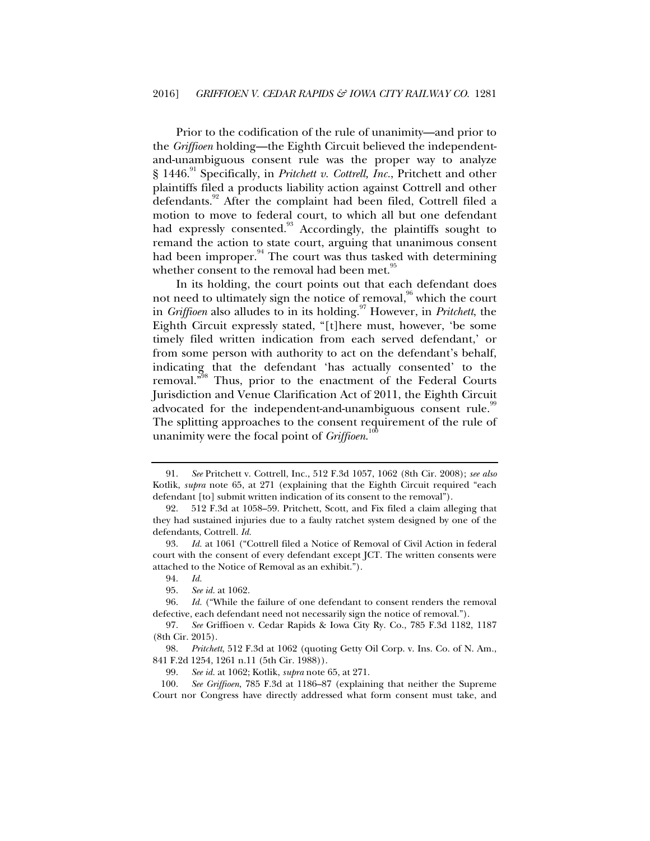Prior to the codification of the rule of unanimity—and prior to the *Griffioen* holding—the Eighth Circuit believed the independentand-unambiguous consent rule was the proper way to analyze § 1446.<sup>91</sup> Specifically, in *Pritchett v. Cottrell, Inc.*, Pritchett and other plaintiffs filed a products liability action against Cottrell and other defendants.<sup>92</sup> After the complaint had been filed, Cottrell filed a motion to move to federal court, to which all but one defendant had expressly consented.<sup>93</sup> Accordingly, the plaintiffs sought to remand the action to state court, arguing that unanimous consent had been improper. $94$  The court was thus tasked with determining whether consent to the removal had been met.<sup>95</sup>

In its holding, the court points out that each defendant does not need to ultimately sign the notice of removal,  $\frac{96}{6}$  which the court in *Griffioen* also alludes to in its holding.97 However, in *Pritchett*, the Eighth Circuit expressly stated, "[t]here must, however, 'be some timely filed written indication from each served defendant,' or from some person with authority to act on the defendant's behalf, indicating that the defendant 'has actually consented' to the removal."<sup>98</sup> Thus, prior to the enactment of the Federal Courts Jurisdiction and Venue Clarification Act of 2011, the Eighth Circuit advocated for the independent-and-unambiguous consent rule.<sup>99</sup> The splitting approaches to the consent requirement of the rule of unanimity were the focal point of *Griffioen*. 100

 <sup>91.</sup> *See* Pritchett v. Cottrell, Inc., 512 F.3d 1057, 1062 (8th Cir. 2008); *see also*  Kotlik, *supra* note 65, at 271 (explaining that the Eighth Circuit required "each defendant [to] submit written indication of its consent to the removal").

 <sup>92. 512</sup> F.3d at 1058–59. Pritchett, Scott, and Fix filed a claim alleging that they had sustained injuries due to a faulty ratchet system designed by one of the defendants, Cottrell. *Id.*

 <sup>93.</sup> *Id.* at 1061 ("Cottrell filed a Notice of Removal of Civil Action in federal court with the consent of every defendant except JCT. The written consents were attached to the Notice of Removal as an exhibit.").

 <sup>94.</sup> *Id.* 

 <sup>95.</sup> *See id.* at 1062.

 <sup>96.</sup> *Id.* ("While the failure of one defendant to consent renders the removal defective, each defendant need not necessarily sign the notice of removal.").

 <sup>97.</sup> *See* Griffioen v. Cedar Rapids & Iowa City Ry. Co., 785 F.3d 1182, 1187 (8th Cir. 2015).

 <sup>98.</sup> *Pritchett*, 512 F.3d at 1062 (quoting Getty Oil Corp. v. Ins. Co. of N. Am., 841 F.2d 1254, 1261 n.11 (5th Cir. 1988)).

 <sup>99.</sup> *See id.* at 1062; Kotlik, *supra* note 65, at 271.

 <sup>100.</sup> *See Griffioen*, 785 F.3d at 1186–87 (explaining that neither the Supreme Court nor Congress have directly addressed what form consent must take, and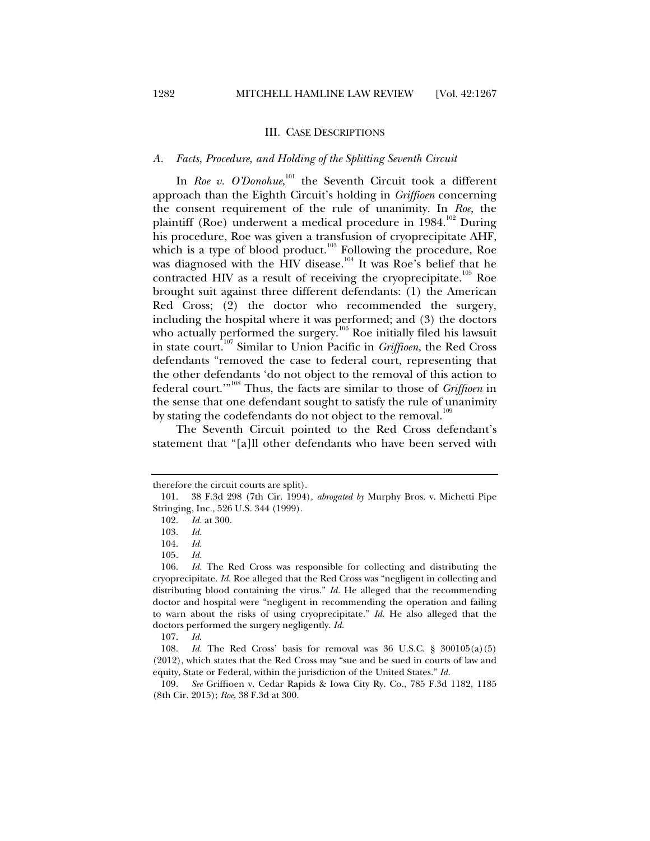#### III. CASE DESCRIPTIONS

## *A. Facts, Procedure, and Holding of the Splitting Seventh Circuit*

In *Roe v. O'Donohue*,<sup>101</sup> the Seventh Circuit took a different approach than the Eighth Circuit's holding in *Griffioen* concerning the consent requirement of the rule of unanimity. In *Roe*, the plaintiff (Roe) underwent a medical procedure in 1984.<sup>102</sup> During his procedure, Roe was given a transfusion of cryoprecipitate AHF, which is a type of blood product.<sup>103</sup> Following the procedure, Roe was diagnosed with the HIV disease.<sup>104</sup> It was Roe's belief that he contracted HIV as a result of receiving the cryoprecipitate.<sup>105</sup> Roe brought suit against three different defendants: (1) the American Red Cross; (2) the doctor who recommended the surgery, including the hospital where it was performed; and (3) the doctors who actually performed the surgery.<sup>106</sup> Roe initially filed his lawsuit in state court.107 Similar to Union Pacific in *Griffioen*, the Red Cross defendants "removed the case to federal court, representing that the other defendants 'do not object to the removal of this action to federal court.'"108 Thus, the facts are similar to those of *Griffioen* in the sense that one defendant sought to satisfy the rule of unanimity by stating the codefendants do not object to the removal.<sup>109</sup>

The Seventh Circuit pointed to the Red Cross defendant's statement that "[a]ll other defendants who have been served with

 109. *See* Griffioen v. Cedar Rapids & Iowa City Ry. Co., 785 F.3d 1182, 1185 (8th Cir. 2015); *Roe*, 38 F.3d at 300.

therefore the circuit courts are split).

 <sup>101. 38</sup> F.3d 298 (7th Cir. 1994), *abrogated by* Murphy Bros. v. Michetti Pipe Stringing, Inc., 526 U.S. 344 (1999).

 <sup>102.</sup> *Id.* at 300.

 <sup>103.</sup> *Id.* 

 <sup>104.</sup> *Id.* 

 <sup>105.</sup> *Id.* 

 <sup>106.</sup> *Id.* The Red Cross was responsible for collecting and distributing the cryoprecipitate. *Id.* Roe alleged that the Red Cross was "negligent in collecting and distributing blood containing the virus." *Id.* He alleged that the recommending doctor and hospital were "negligent in recommending the operation and failing to warn about the risks of using cryoprecipitate." *Id.* He also alleged that the doctors performed the surgery negligently. *Id.* 

 <sup>107.</sup> *Id*.

 <sup>108.</sup> *Id.* The Red Cross' basis for removal was 36 U.S.C. § 300105(a)(5) (2012), which states that the Red Cross may "sue and be sued in courts of law and equity, State or Federal, within the jurisdiction of the United States." *Id.*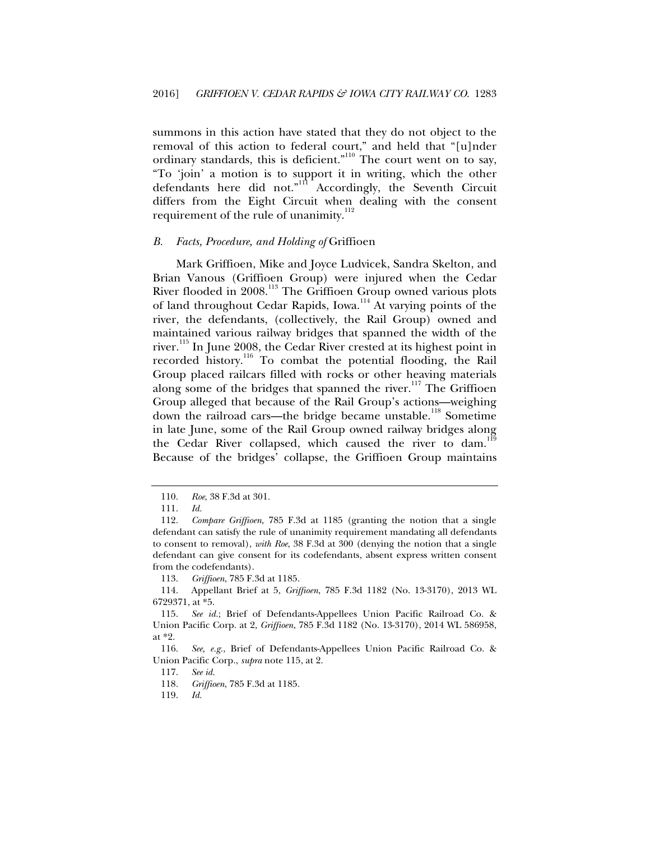summons in this action have stated that they do not object to the removal of this action to federal court," and held that "[u]nder ordinary standards, this is deficient."110 The court went on to say, "To 'join' a motion is to support it in writing, which the other defendants here did not."<sup>11</sup> Accordingly, the Seventh Circuit differs from the Eight Circuit when dealing with the consent requirement of the rule of unanimity.<sup>112</sup>

## *B. Facts, Procedure, and Holding of* Griffioen

Mark Griffioen, Mike and Joyce Ludvicek, Sandra Skelton, and Brian Vanous (Griffioen Group) were injured when the Cedar River flooded in 2008.<sup>113</sup> The Griffioen Group owned various plots of land throughout Cedar Rapids, Iowa.<sup>114</sup> At varying points of the river, the defendants, (collectively, the Rail Group) owned and maintained various railway bridges that spanned the width of the river.<sup>115</sup> In June 2008, the Cedar River crested at its highest point in recorded history.<sup>116</sup> To combat the potential flooding, the Rail Group placed railcars filled with rocks or other heaving materials along some of the bridges that spanned the river.<sup>117</sup> The Griffioen Group alleged that because of the Rail Group's actions—weighing down the railroad cars—the bridge became unstable.<sup>118</sup> Sometime in late June, some of the Rail Group owned railway bridges along the Cedar River collapsed, which caused the river to dam.<sup>119</sup> Because of the bridges' collapse, the Griffioen Group maintains

 <sup>110.</sup> *Roe*, 38 F.3d at 301.

 <sup>111.</sup> *Id.*

 <sup>112.</sup> *Compare Griffioen*, 785 F.3d at 1185 (granting the notion that a single defendant can satisfy the rule of unanimity requirement mandating all defendants to consent to removal), *with Roe*, 38 F.3d at 300 (denying the notion that a single defendant can give consent for its codefendants, absent express written consent from the codefendants).

 <sup>113.</sup> *Griffioen*, 785 F.3d at 1185.

 <sup>114.</sup> Appellant Brief at 5, *Griffioen*, 785 F.3d 1182 (No. 13-3170), 2013 WL 6729371, at \*5.

 <sup>115.</sup> *See id.*; Brief of Defendants-Appellees Union Pacific Railroad Co. & Union Pacific Corp. at 2, *Griffioen*, 785 F.3d 1182 (No. 13-3170), 2014 WL 586958, at \*2.

 <sup>116.</sup> *See, e.g.*, Brief of Defendants-Appellees Union Pacific Railroad Co. & Union Pacific Corp., *supra* note 115, at 2.

 <sup>117.</sup> *See id.*

 <sup>118.</sup> *Griffioen*, 785 F.3d at 1185.

 <sup>119.</sup> *Id.*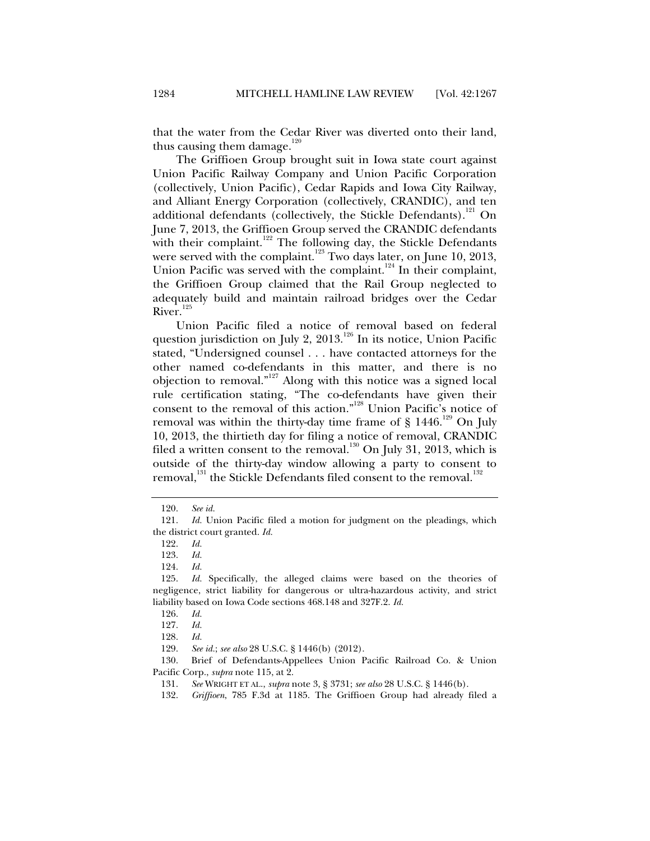that the water from the Cedar River was diverted onto their land, thus causing them damage. $120$ 

The Griffioen Group brought suit in Iowa state court against Union Pacific Railway Company and Union Pacific Corporation (collectively, Union Pacific), Cedar Rapids and Iowa City Railway, and Alliant Energy Corporation (collectively, CRANDIC), and ten additional defendants (collectively, the Stickle Defendants).<sup>121</sup> On June 7, 2013, the Griffioen Group served the CRANDIC defendants with their complaint.<sup>122</sup> The following day, the Stickle Defendants were served with the complaint.<sup>123</sup> Two days later, on June 10, 2013, Union Pacific was served with the complaint.<sup>124</sup> In their complaint, the Griffioen Group claimed that the Rail Group neglected to adequately build and maintain railroad bridges over the Cedar  $River.$ <sup>125</sup>

Union Pacific filed a notice of removal based on federal question jurisdiction on July 2,  $2013$ .<sup>126</sup> In its notice, Union Pacific stated, "Undersigned counsel . . . have contacted attorneys for the other named co-defendants in this matter, and there is no objection to removal."127 Along with this notice was a signed local rule certification stating, "The co-defendants have given their consent to the removal of this action."128 Union Pacific's notice of removal was within the thirty-day time frame of  $\S$  1446.<sup>129</sup> On July 10, 2013, the thirtieth day for filing a notice of removal, CRANDIC filed a written consent to the removal.<sup>130</sup> On July 31, 2013, which is outside of the thirty-day window allowing a party to consent to removal,<sup>131</sup> the Stickle Defendants filed consent to the removal.<sup>132</sup>

 <sup>120.</sup> *See id.*

 <sup>121.</sup> *Id.* Union Pacific filed a motion for judgment on the pleadings, which the district court granted. *Id.*

 <sup>122.</sup> *Id.* 

 <sup>123.</sup> *Id.* 

 <sup>124.</sup> *Id.* 

 <sup>125.</sup> *Id.* Specifically, the alleged claims were based on the theories of negligence, strict liability for dangerous or ultra-hazardous activity, and strict liability based on Iowa Code sections 468.148 and 327F.2. *Id.*

 <sup>126.</sup> *Id.* 

 <sup>127.</sup> *Id.* 

 <sup>128.</sup> *Id.* 

 <sup>129.</sup> *See id.*; *see also* 28 U.S.C. § 1446(b) (2012).

 <sup>130.</sup> Brief of Defendants-Appellees Union Pacific Railroad Co. & Union Pacific Corp., *supra* note 115, at 2.

 <sup>131.</sup> *See* WRIGHT ET AL., *supra* note 3, § 3731; *see also* 28 U.S.C. § 1446(b).

 <sup>132.</sup> *Griffioen*, 785 F.3d at 1185. The Griffioen Group had already filed a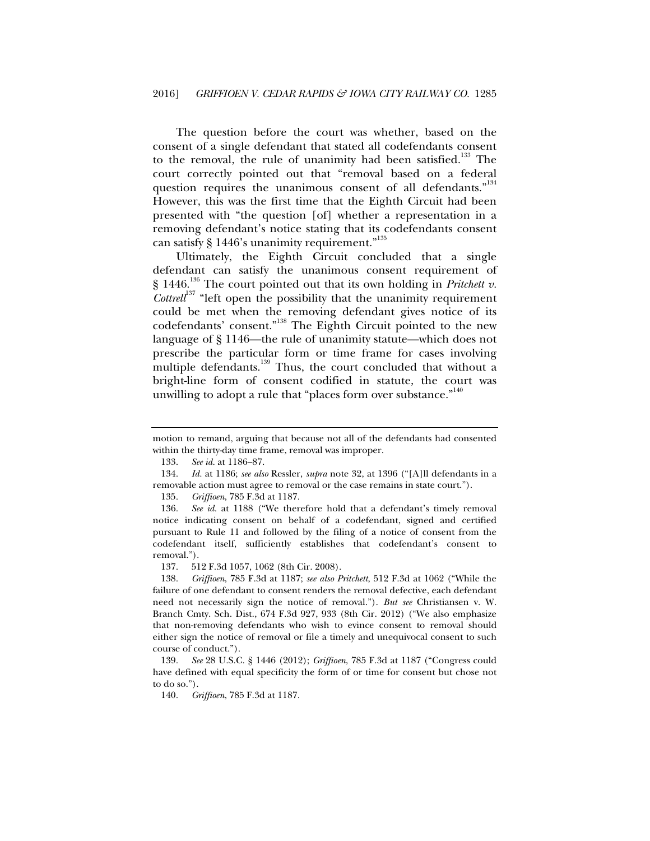The question before the court was whether, based on the consent of a single defendant that stated all codefendants consent to the removal, the rule of unanimity had been satisfied.<sup>133</sup> The court correctly pointed out that "removal based on a federal question requires the unanimous consent of all defendants."<sup>134</sup> However, this was the first time that the Eighth Circuit had been presented with "the question [of] whether a representation in a removing defendant's notice stating that its codefendants consent can satisfy § 1446's unanimity requirement."<sup>135</sup>

Ultimately, the Eighth Circuit concluded that a single defendant can satisfy the unanimous consent requirement of § 1446.<sup>136</sup> The court pointed out that its own holding in *Pritchett v*. *Cottrell*<sup>137</sup> "left open the possibility that the unanimity requirement could be met when the removing defendant gives notice of its codefendants' consent."138 The Eighth Circuit pointed to the new language of § 1146—the rule of unanimity statute—which does not prescribe the particular form or time frame for cases involving multiple defendants.<sup>139</sup> Thus, the court concluded that without a bright-line form of consent codified in statute, the court was unwilling to adopt a rule that "places form over substance."<sup>140</sup>

motion to remand, arguing that because not all of the defendants had consented within the thirty-day time frame, removal was improper.

 <sup>133.</sup> *See id.* at 1186–87.

 <sup>134.</sup> *Id.* at 1186; *see also* Ressler, *supra* note 32, at 1396 ("[A]ll defendants in a removable action must agree to removal or the case remains in state court.").

 <sup>135.</sup> *Griffioen*, 785 F.3d at 1187.

 <sup>136.</sup> *See id.* at 1188 ("We therefore hold that a defendant's timely removal notice indicating consent on behalf of a codefendant, signed and certified pursuant to Rule 11 and followed by the filing of a notice of consent from the codefendant itself, sufficiently establishes that codefendant's consent to removal.").

 <sup>137. 512</sup> F.3d 1057, 1062 (8th Cir. 2008).

 <sup>138.</sup> *Griffioen*, 785 F.3d at 1187; *see also Pritchett*, 512 F.3d at 1062 ("While the failure of one defendant to consent renders the removal defective, each defendant need not necessarily sign the notice of removal."). *But see* Christiansen v. W. Branch Cmty. Sch. Dist., 674 F.3d 927, 933 (8th Cir. 2012) ("We also emphasize that non-removing defendants who wish to evince consent to removal should either sign the notice of removal or file a timely and unequivocal consent to such course of conduct.").

 <sup>139.</sup> *See* 28 U.S.C. § 1446 (2012); *Griffioen*, 785 F.3d at 1187 ("Congress could have defined with equal specificity the form of or time for consent but chose not to do so.").

 <sup>140.</sup> *Griffioen*, 785 F.3d at 1187.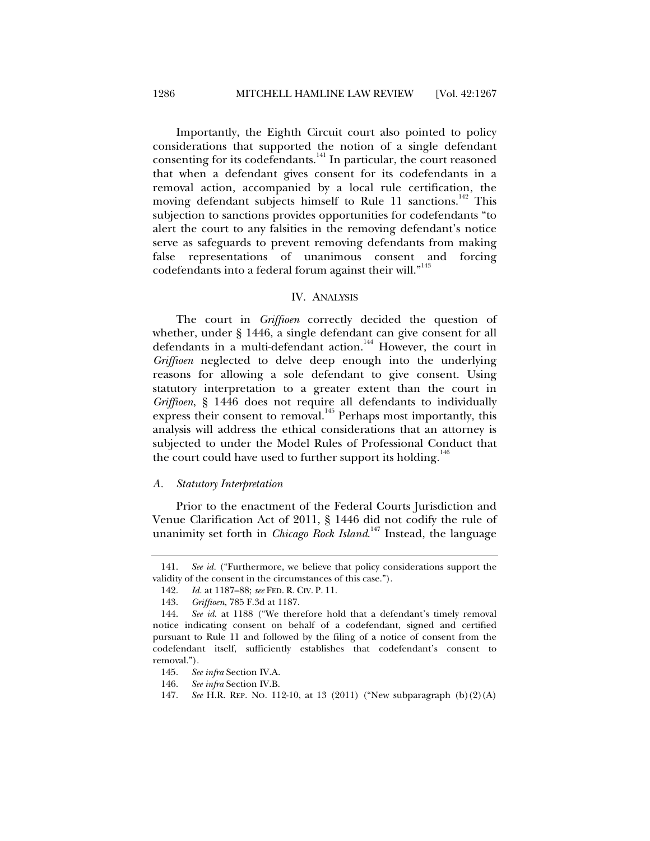Importantly, the Eighth Circuit court also pointed to policy considerations that supported the notion of a single defendant consenting for its codefendants.<sup>141</sup> In particular, the court reasoned that when a defendant gives consent for its codefendants in a removal action, accompanied by a local rule certification, the moving defendant subjects himself to Rule 11 sanctions.<sup>142</sup> This subjection to sanctions provides opportunities for codefendants "to alert the court to any falsities in the removing defendant's notice serve as safeguards to prevent removing defendants from making false representations of unanimous consent and forcing codefendants into a federal forum against their will." $143$ 

## IV. ANALYSIS

The court in *Griffioen* correctly decided the question of whether, under § 1446, a single defendant can give consent for all defendants in a multi-defendant action.<sup>144</sup> However, the court in *Griffioen* neglected to delve deep enough into the underlying reasons for allowing a sole defendant to give consent. Using statutory interpretation to a greater extent than the court in *Griffioen*, § 1446 does not require all defendants to individually express their consent to removal.<sup>145</sup> Perhaps most importantly, this analysis will address the ethical considerations that an attorney is subjected to under the Model Rules of Professional Conduct that the court could have used to further support its holding.<sup>140</sup>

## *A. Statutory Interpretation*

Prior to the enactment of the Federal Courts Jurisdiction and Venue Clarification Act of 2011, § 1446 did not codify the rule of unanimity set forth in *Chicago Rock Island*. 147 Instead, the language

 <sup>141.</sup> *See id.* ("Furthermore, we believe that policy considerations support the validity of the consent in the circumstances of this case.").

 <sup>142.</sup> *Id.* at 1187–88; *see* FED. R. CIV. P. 11.

 <sup>143.</sup> *Griffioen*, 785 F.3d at 1187.

 <sup>144.</sup> *See id.* at 1188 ("We therefore hold that a defendant's timely removal notice indicating consent on behalf of a codefendant, signed and certified pursuant to Rule 11 and followed by the filing of a notice of consent from the codefendant itself, sufficiently establishes that codefendant's consent to removal.").

 <sup>145.</sup> *See infra* Section IV.A.

 <sup>146.</sup> *See infra* Section IV.B.

 <sup>147.</sup> *See* H.R. REP. NO. 112-10, at 13 (2011) ("New subparagraph (b)(2)(A)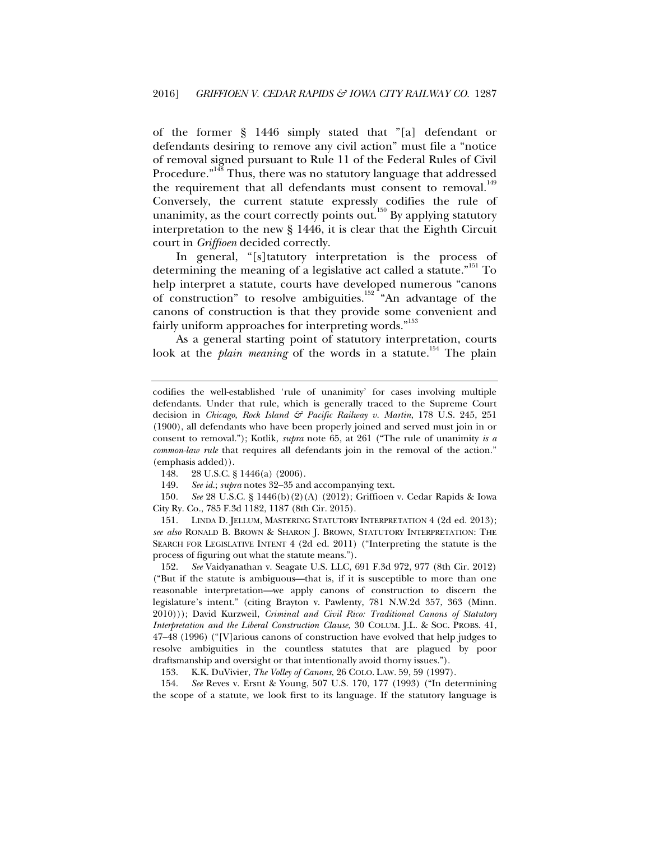of the former § 1446 simply stated that "[a] defendant or defendants desiring to remove any civil action" must file a "notice of removal signed pursuant to Rule 11 of the Federal Rules of Civil Procedure."<sup>148</sup> Thus, there was no statutory language that addressed the requirement that all defendants must consent to removal.<sup>149</sup> Conversely, the current statute expressly codifies the rule of unanimity, as the court correctly points out.<sup>150</sup> By applying statutory interpretation to the new § 1446, it is clear that the Eighth Circuit court in *Griffioen* decided correctly.

In general, "[s]tatutory interpretation is the process of determining the meaning of a legislative act called a statute."<sup>151</sup> To help interpret a statute, courts have developed numerous "canons of construction" to resolve ambiguities.<sup>152</sup> "An advantage of the canons of construction is that they provide some convenient and fairly uniform approaches for interpreting words."<sup>153</sup>

As a general starting point of statutory interpretation, courts look at the *plain meaning* of the words in a statute.<sup>154</sup> The plain

149. *See id.*; *supra* notes 32–35 and accompanying text.

150*. See* 28 U.S.C. § 1446(b)(2)(A) (2012); Griffioen v. Cedar Rapids & Iowa City Ry. Co., 785 F.3d 1182, 1187 (8th Cir. 2015).

 151. LINDA D. JELLUM, MASTERING STATUTORY INTERPRETATION 4 (2d ed. 2013); *see also* RONALD B. BROWN & SHARON J. BROWN, STATUTORY INTERPRETATION: THE SEARCH FOR LEGISLATIVE INTENT 4 (2d ed. 2011) ("Interpreting the statute is the process of figuring out what the statute means.").

 152. *See* Vaidyanathan v. Seagate U.S. LLC, 691 F.3d 972, 977 (8th Cir. 2012) ("But if the statute is ambiguous—that is, if it is susceptible to more than one reasonable interpretation—we apply canons of construction to discern the legislature's intent." (citing Brayton v. Pawlenty, 781 N.W.2d 357, 363 (Minn. 2010))); David Kurzweil, *Criminal and Civil Rico: Traditional Canons of Statutory Interpretation and the Liberal Construction Clause*, 30 COLUM. J.L. & SOC. PROBS. 41, 47–48 (1996) ("[V]arious canons of construction have evolved that help judges to resolve ambiguities in the countless statutes that are plagued by poor draftsmanship and oversight or that intentionally avoid thorny issues.").

153. K.K. DuVivier, *The Volley of Canons*, 26 COLO. LAW. 59, 59 (1997).

 154. *See* Reves v. Ersnt & Young, 507 U.S. 170, 177 (1993) ("In determining the scope of a statute, we look first to its language. If the statutory language is

codifies the well-established 'rule of unanimity' for cases involving multiple defendants. Under that rule, which is generally traced to the Supreme Court decision in *Chicago, Rock Island & Pacific Railway v. Martin*, 178 U.S. 245, 251 (1900), all defendants who have been properly joined and served must join in or consent to removal."); Kotlik, *supra* note 65, at 261 ("The rule of unanimity *is a common-law rule* that requires all defendants join in the removal of the action." (emphasis added)).

 <sup>148. 28</sup> U.S.C. § 1446(a) (2006).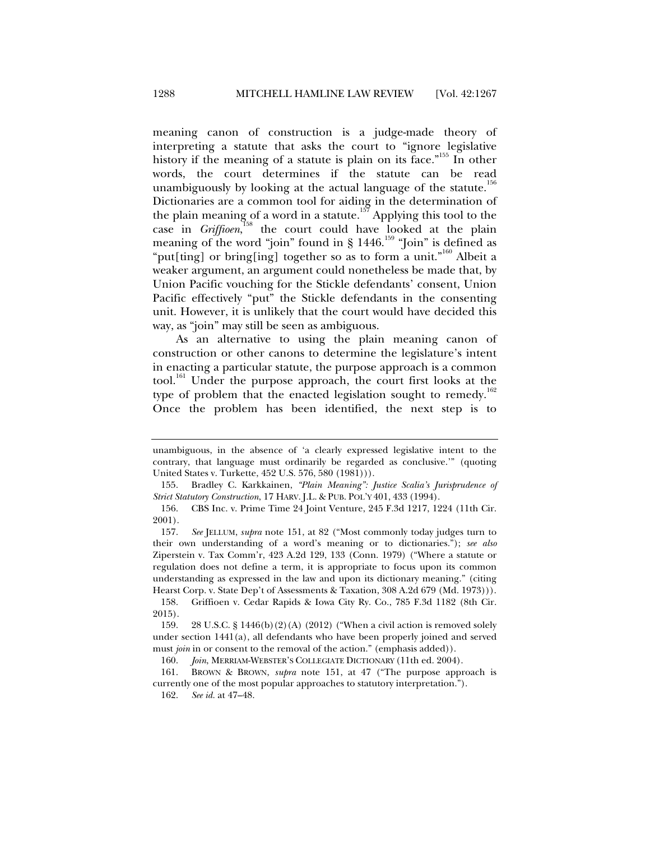meaning canon of construction is a judge-made theory of interpreting a statute that asks the court to "ignore legislative history if the meaning of a statute is plain on its face.<sup> $n_{155}$ </sup> In other words, the court determines if the statute can be read unambiguously by looking at the actual language of the statute.<sup>156</sup> Dictionaries are a common tool for aiding in the determination of the plain meaning of a word in a statute.<sup>157</sup> Applying this tool to the case in *Griffioen*, 158 the court could have looked at the plain meaning of the word "join" found in §  $1446$ .<sup>159</sup> "Join" is defined as "put[ting] or bring[ing] together so as to form a unit."<sup>160</sup> Albeit a weaker argument, an argument could nonetheless be made that, by Union Pacific vouching for the Stickle defendants' consent, Union Pacific effectively "put" the Stickle defendants in the consenting unit. However, it is unlikely that the court would have decided this way, as "join" may still be seen as ambiguous.

As an alternative to using the plain meaning canon of construction or other canons to determine the legislature's intent in enacting a particular statute, the purpose approach is a common tool.<sup>161</sup> Under the purpose approach, the court first looks at the type of problem that the enacted legislation sought to remedy.<sup>162</sup> Once the problem has been identified, the next step is to

unambiguous, in the absence of 'a clearly expressed legislative intent to the contrary, that language must ordinarily be regarded as conclusive.'" (quoting United States v. Turkette, 452 U.S. 576, 580 (1981))).

 <sup>155.</sup> Bradley C. Karkkainen, *"Plain Meaning": Justice Scalia's Jurisprudence of Strict Statutory Construction*, 17 HARV. J.L. & PUB. POL'Y 401, 433 (1994).

 <sup>156.</sup> CBS Inc. v. Prime Time 24 Joint Venture, 245 F.3d 1217, 1224 (11th Cir. 2001).

 <sup>157.</sup> *See* JELLUM, *supra* note 151, at 82 ("Most commonly today judges turn to their own understanding of a word's meaning or to dictionaries."); *see also*  Ziperstein v. Tax Comm'r, 423 A.2d 129, 133 (Conn. 1979) ("Where a statute or regulation does not define a term, it is appropriate to focus upon its common understanding as expressed in the law and upon its dictionary meaning." (citing Hearst Corp. v. State Dep't of Assessments & Taxation, 308 A.2d 679 (Md. 1973))).

 <sup>158.</sup> Griffioen v. Cedar Rapids & Iowa City Ry. Co., 785 F.3d 1182 (8th Cir. 2015).

 <sup>159. 28</sup> U.S.C. § 1446(b)(2)(A) (2012) ("When a civil action is removed solely under section 1441(a), all defendants who have been properly joined and served must *join* in or consent to the removal of the action." (emphasis added)).

 <sup>160.</sup> *Join*, MERRIAM-WEBSTER'S COLLEGIATE DICTIONARY (11th ed. 2004).

 <sup>161.</sup> BROWN & BROWN, *supra* note 151, at 47 ("The purpose approach is currently one of the most popular approaches to statutory interpretation.").

 <sup>162.</sup> *See id.* at 47–48.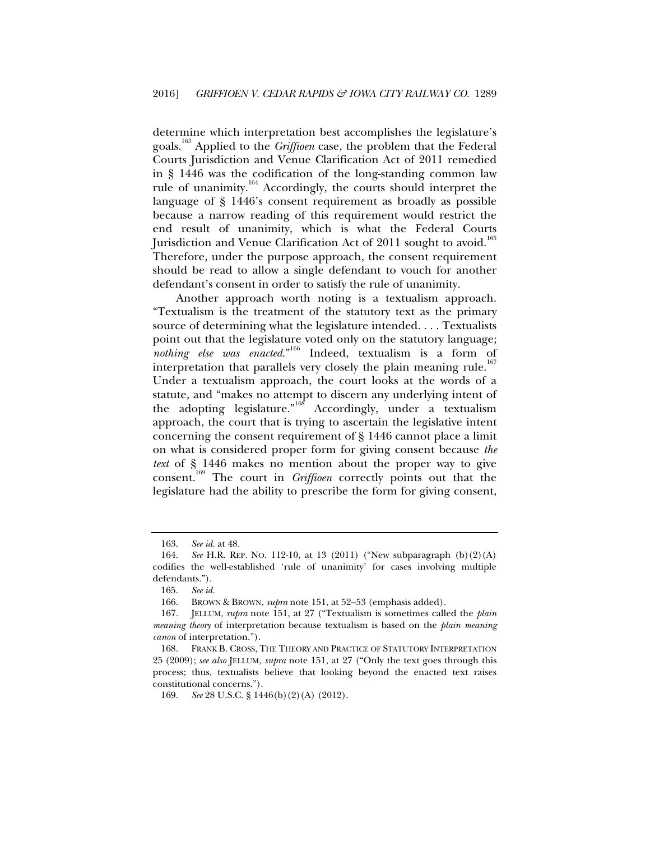determine which interpretation best accomplishes the legislature's goals.163 Applied to the *Griffioen* case, the problem that the Federal Courts Jurisdiction and Venue Clarification Act of 2011 remedied in § 1446 was the codification of the long-standing common law rule of unanimity.<sup>164</sup> Accordingly, the courts should interpret the language of § 1446's consent requirement as broadly as possible because a narrow reading of this requirement would restrict the end result of unanimity, which is what the Federal Courts Jurisdiction and Venue Clarification Act of 2011 sought to avoid.<sup>165</sup> Therefore, under the purpose approach, the consent requirement should be read to allow a single defendant to vouch for another defendant's consent in order to satisfy the rule of unanimity.

Another approach worth noting is a textualism approach. "Textualism is the treatment of the statutory text as the primary source of determining what the legislature intended. . . . Textualists point out that the legislature voted only on the statutory language; nothing else was enacted.<sup>"166</sup> Indeed, textualism is a form of interpretation that parallels very closely the plain meaning rule.<sup>167</sup> Under a textualism approach, the court looks at the words of a statute, and "makes no attempt to discern any underlying intent of the adopting legislature."168 Accordingly, under a textualism approach, the court that is trying to ascertain the legislative intent concerning the consent requirement of § 1446 cannot place a limit on what is considered proper form for giving consent because *the text* of § 1446 makes no mention about the proper way to give consent.169 The court in *Griffioen* correctly points out that the legislature had the ability to prescribe the form for giving consent,

 <sup>163.</sup> *See id.* at 48.

 <sup>164.</sup> *See* H.R. REP. NO. 112-10, at 13 (2011) ("New subparagraph (b)(2)(A) codifies the well-established 'rule of unanimity' for cases involving multiple defendants.").

 <sup>165.</sup> *See id.*

 <sup>166.</sup> BROWN & BROWN, *supra* note 151, at 52–53 (emphasis added).

 <sup>167.</sup> JELLUM, *supra* note 151, at 27 ("Textualism is sometimes called the *plain meaning theory* of interpretation because textualism is based on the *plain meaning canon* of interpretation.").

 <sup>168.</sup> FRANK B. CROSS, THE THEORY AND PRACTICE OF STATUTORY INTERPRETATION 25 (2009); *see also* JELLUM, *supra* note 151, at 27 ("Only the text goes through this process; thus, textualists believe that looking beyond the enacted text raises constitutional concerns.").

 <sup>169.</sup> *See* 28 U.S.C. § 1446(b)(2)(A) (2012).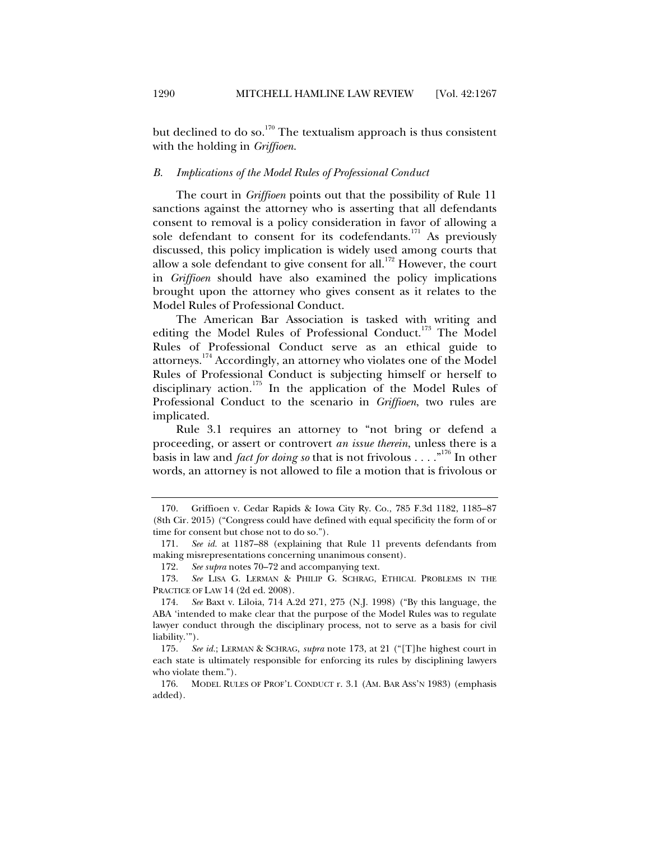but declined to do so.<sup>170</sup> The textualism approach is thus consistent with the holding in *Griffioen*.

## *B. Implications of the Model Rules of Professional Conduct*

The court in *Griffioen* points out that the possibility of Rule 11 sanctions against the attorney who is asserting that all defendants consent to removal is a policy consideration in favor of allowing a sole defendant to consent for its codefendants.<sup>171</sup> As previously discussed, this policy implication is widely used among courts that allow a sole defendant to give consent for all.<sup>172</sup> However, the court in *Griffioen* should have also examined the policy implications brought upon the attorney who gives consent as it relates to the Model Rules of Professional Conduct.

The American Bar Association is tasked with writing and editing the Model Rules of Professional Conduct.<sup>173</sup> The Model Rules of Professional Conduct serve as an ethical guide to attorneys.174 Accordingly, an attorney who violates one of the Model Rules of Professional Conduct is subjecting himself or herself to disciplinary action.<sup>175</sup> In the application of the Model Rules of Professional Conduct to the scenario in *Griffioen*, two rules are implicated.

Rule 3.1 requires an attorney to "not bring or defend a proceeding, or assert or controvert *an issue therein*, unless there is a basis in law and *fact for doing so* that is not frivolous . . . ."176 In other words, an attorney is not allowed to file a motion that is frivolous or

 <sup>170.</sup> Griffioen v. Cedar Rapids & Iowa City Ry. Co., 785 F.3d 1182, 1185–87 (8th Cir. 2015) ("Congress could have defined with equal specificity the form of or time for consent but chose not to do so.").

 <sup>171.</sup> *See id.* at 1187–88 (explaining that Rule 11 prevents defendants from making misrepresentations concerning unanimous consent).

 <sup>172.</sup> *See supra* notes 70–72 and accompanying text.

 <sup>173.</sup> *See* LISA G. LERMAN & PHILIP G. SCHRAG, ETHICAL PROBLEMS IN THE PRACTICE OF LAW 14 (2d ed. 2008).

 <sup>174.</sup> *See* Baxt v. Liloia, 714 A.2d 271, 275 (N.J. 1998) ("By this language, the ABA 'intended to make clear that the purpose of the Model Rules was to regulate lawyer conduct through the disciplinary process, not to serve as a basis for civil liability.'").

 <sup>175.</sup> *See id.*; LERMAN & SCHRAG, *supra* note 173, at 21 ("[T]he highest court in each state is ultimately responsible for enforcing its rules by disciplining lawyers who violate them.").

 <sup>176.</sup> MODEL RULES OF PROF'L CONDUCT r. 3.1 (AM. BAR ASS'N 1983) (emphasis added).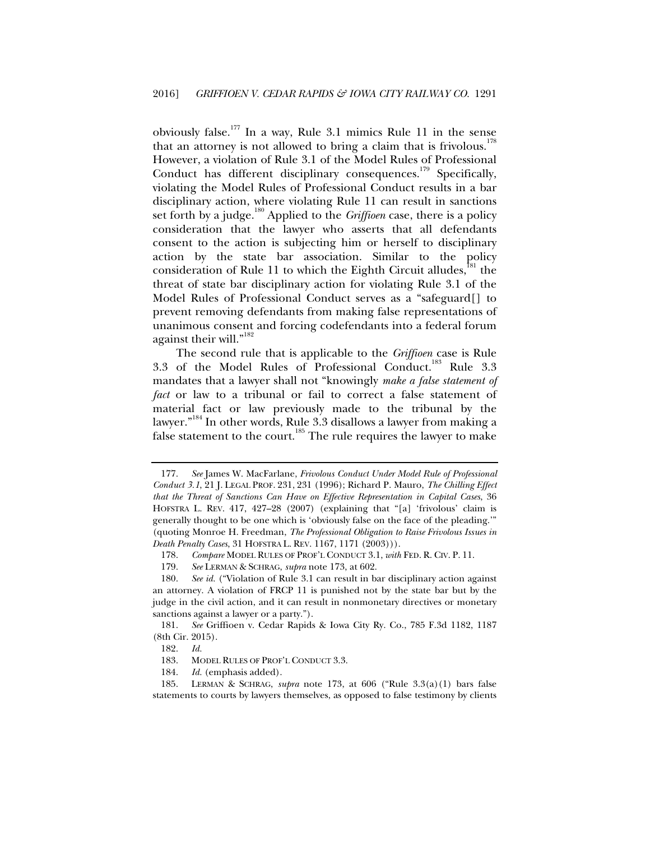obviously false.<sup>177</sup> In a way, Rule 3.1 mimics Rule 11 in the sense that an attorney is not allowed to bring a claim that is frivolous.<sup>178</sup> However, a violation of Rule 3.1 of the Model Rules of Professional Conduct has different disciplinary consequences.<sup>179</sup> Specifically, violating the Model Rules of Professional Conduct results in a bar disciplinary action, where violating Rule 11 can result in sanctions set forth by a judge.<sup>180</sup> Applied to the *Griffioen* case, there is a policy consideration that the lawyer who asserts that all defendants consent to the action is subjecting him or herself to disciplinary action by the state bar association. Similar to the policy consideration of Rule 11 to which the Eighth Circuit alludes, $181$  the threat of state bar disciplinary action for violating Rule 3.1 of the Model Rules of Professional Conduct serves as a "safeguard[] to prevent removing defendants from making false representations of unanimous consent and forcing codefendants into a federal forum against their will."<sup>182</sup>

The second rule that is applicable to the *Griffioen* case is Rule 3.3 of the Model Rules of Professional Conduct.<sup>183</sup> Rule 3.3 mandates that a lawyer shall not "knowingly *make a false statement of fact* or law to a tribunal or fail to correct a false statement of material fact or law previously made to the tribunal by the lawyer."<sup>184</sup> In other words, Rule 3.3 disallows a lawyer from making a false statement to the court.<sup>185</sup> The rule requires the lawyer to make

 181. *See* Griffioen v. Cedar Rapids & Iowa City Ry. Co., 785 F.3d 1182, 1187 (8th Cir. 2015).

 <sup>177.</sup> *See* James W. MacFarlane, *Frivolous Conduct Under Model Rule of Professional Conduct 3.1*, 21 J. LEGAL PROF. 231, 231 (1996); Richard P. Mauro, *The Chilling Effect that the Threat of Sanctions Can Have on Effective Representation in Capital Cases*, 36 HOFSTRA L. REV. 417, 427–28 (2007) (explaining that "[a] 'frivolous' claim is generally thought to be one which is 'obviously false on the face of the pleading.'" (quoting Monroe H. Freedman, *The Professional Obligation to Raise Frivolous Issues in Death Penalty Cases*, 31 HOFSTRA L. REV. 1167, 1171 (2003))).

 <sup>178.</sup> *Compare* MODEL RULES OF PROF'L CONDUCT 3.1, *with* FED. R. CIV. P. 11.

 <sup>179.</sup> *See* LERMAN & SCHRAG, *supra* note 173, at 602.

 <sup>180.</sup> *See id.* ("Violation of Rule 3.1 can result in bar disciplinary action against an attorney. A violation of FRCP 11 is punished not by the state bar but by the judge in the civil action, and it can result in nonmonetary directives or monetary sanctions against a lawyer or a party.").

 <sup>182.</sup> *Id.* 

 <sup>183.</sup> MODEL RULES OF PROF'L CONDUCT 3.3.

 <sup>184.</sup> *Id.* (emphasis added).

 <sup>185.</sup> LERMAN & SCHRAG, *supra* note 173, at 606 ("Rule 3.3(a)(1) bars false statements to courts by lawyers themselves, as opposed to false testimony by clients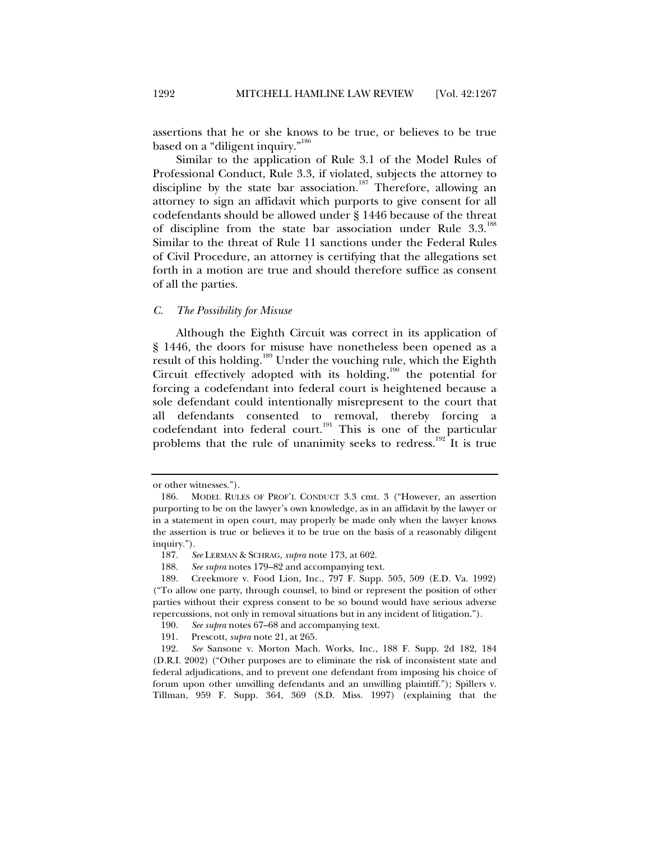assertions that he or she knows to be true, or believes to be true based on a "diligent inquiry."<sup>186</sup>

Similar to the application of Rule 3.1 of the Model Rules of Professional Conduct, Rule 3.3, if violated, subjects the attorney to discipline by the state bar association.<sup>187</sup> Therefore, allowing an attorney to sign an affidavit which purports to give consent for all codefendants should be allowed under § 1446 because of the threat of discipline from the state bar association under Rule 3.3.<sup>188</sup> Similar to the threat of Rule 11 sanctions under the Federal Rules of Civil Procedure, an attorney is certifying that the allegations set forth in a motion are true and should therefore suffice as consent of all the parties.

## *C. The Possibility for Misuse*

Although the Eighth Circuit was correct in its application of § 1446, the doors for misuse have nonetheless been opened as a result of this holding.<sup>189</sup> Under the vouching rule, which the Eighth Circuit effectively adopted with its holding,<sup>190</sup> the potential for forcing a codefendant into federal court is heightened because a sole defendant could intentionally misrepresent to the court that all defendants consented to removal, thereby forcing a codefendant into federal court.<sup>191</sup> This is one of the particular problems that the rule of unanimity seeks to redress.<sup>192</sup> It is true

or other witnesses.").

 <sup>186.</sup> MODEL RULES OF PROF'L CONDUCT 3.3 cmt. 3 ("However, an assertion purporting to be on the lawyer's own knowledge, as in an affidavit by the lawyer or in a statement in open court, may properly be made only when the lawyer knows the assertion is true or believes it to be true on the basis of a reasonably diligent inquiry.").

 <sup>187.</sup> *See* LERMAN & SCHRAG, *supra* note 173, at 602.

 <sup>188.</sup> *See supra* notes 179–82 and accompanying text.

 <sup>189.</sup> Creekmore v. Food Lion, Inc., 797 F. Supp. 505, 509 (E.D. Va. 1992) ("To allow one party, through counsel, to bind or represent the position of other parties without their express consent to be so bound would have serious adverse repercussions, not only in removal situations but in any incident of litigation.").

 <sup>190.</sup> *See supra* notes 67–68 and accompanying text.

 <sup>191.</sup> Prescott, *supra* note 21, at 265.

 <sup>192.</sup> *See* Sansone v. Morton Mach. Works, Inc., 188 F. Supp. 2d 182, 184 (D.R.I. 2002) ("Other purposes are to eliminate the risk of inconsistent state and federal adjudications, and to prevent one defendant from imposing his choice of forum upon other unwilling defendants and an unwilling plaintiff."); Spillers v. Tillman, 959 F. Supp. 364, 369 (S.D. Miss. 1997) (explaining that the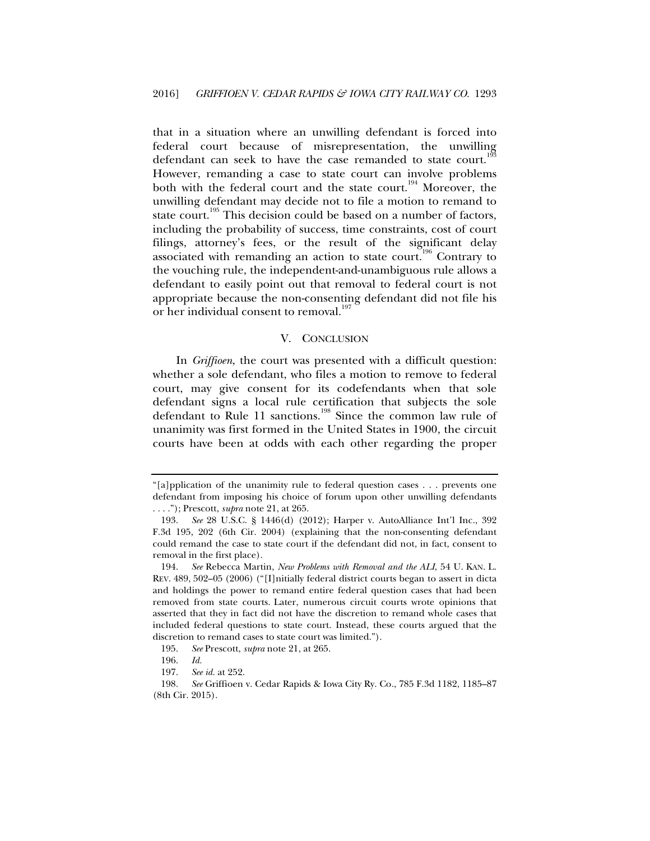that in a situation where an unwilling defendant is forced into federal court because of misrepresentation, the unwilling defendant can seek to have the case remanded to state court.<sup>19</sup> However, remanding a case to state court can involve problems both with the federal court and the state court.<sup>194</sup> Moreover, the unwilling defendant may decide not to file a motion to remand to state court.<sup>195</sup> This decision could be based on a number of factors, including the probability of success, time constraints, cost of court filings, attorney's fees, or the result of the significant delay associated with remanding an action to state court.<sup>196</sup> Contrary to the vouching rule, the independent-and-unambiguous rule allows a defendant to easily point out that removal to federal court is not appropriate because the non-consenting defendant did not file his or her individual consent to removal.<sup>197</sup>

## V. CONCLUSION

In *Griffioen*, the court was presented with a difficult question: whether a sole defendant, who files a motion to remove to federal court, may give consent for its codefendants when that sole defendant signs a local rule certification that subjects the sole defendant to Rule 11 sanctions.<sup>198</sup> Since the common law rule of unanimity was first formed in the United States in 1900, the circuit courts have been at odds with each other regarding the proper

<sup>&</sup>quot;[a]pplication of the unanimity rule to federal question cases . . . prevents one defendant from imposing his choice of forum upon other unwilling defendants . . . ."); Prescott, *supra* note 21, at 265.

 <sup>193.</sup> *See* 28 U.S.C. § 1446(d) (2012); Harper v. AutoAlliance Int'l Inc., 392 F.3d 195, 202 (6th Cir. 2004) (explaining that the non-consenting defendant could remand the case to state court if the defendant did not, in fact, consent to removal in the first place).

 <sup>194.</sup> *See* Rebecca Martin, *New Problems with Removal and the ALI*, 54 U. KAN. L. REV. 489, 502–05 (2006) ("[I]nitially federal district courts began to assert in dicta and holdings the power to remand entire federal question cases that had been removed from state courts. Later, numerous circuit courts wrote opinions that asserted that they in fact did not have the discretion to remand whole cases that included federal questions to state court. Instead, these courts argued that the discretion to remand cases to state court was limited.").

 <sup>195.</sup> *See* Prescott, *supra* note 21, at 265.

 <sup>196.</sup> *Id.*

 <sup>197.</sup> *See id.* at 252.

 <sup>198.</sup> *See* Griffioen v. Cedar Rapids & Iowa City Ry. Co., 785 F.3d 1182, 1185–87 (8th Cir. 2015).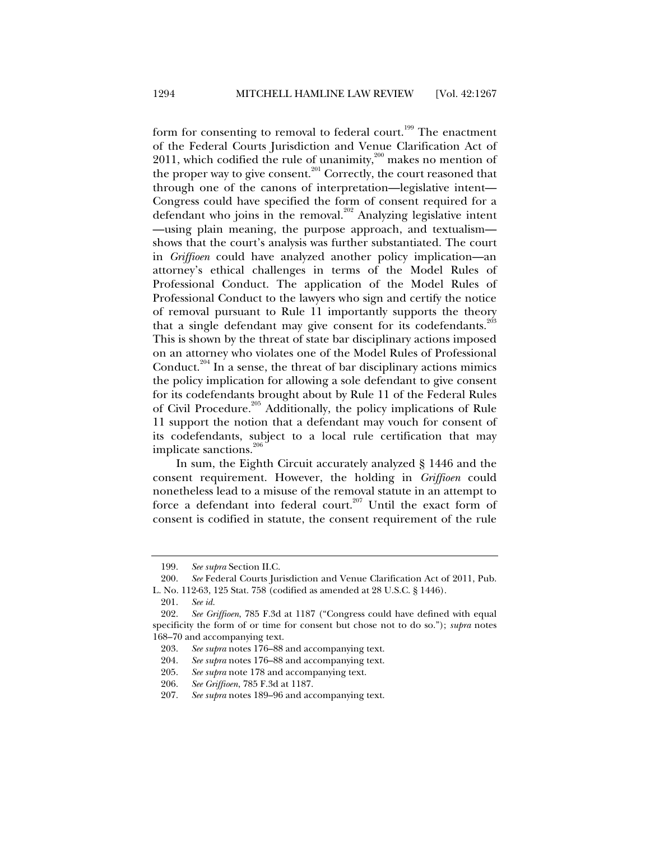form for consenting to removal to federal court.<sup>199</sup> The enactment of the Federal Courts Jurisdiction and Venue Clarification Act of 2011, which codified the rule of unanimity, $200$  makes no mention of the proper way to give consent.<sup>201</sup> Correctly, the court reasoned that through one of the canons of interpretation—legislative intent— Congress could have specified the form of consent required for a defendant who joins in the removal.<sup>202</sup> Analyzing legislative intent —using plain meaning, the purpose approach, and textualism shows that the court's analysis was further substantiated. The court in *Griffioen* could have analyzed another policy implication—an attorney's ethical challenges in terms of the Model Rules of Professional Conduct. The application of the Model Rules of Professional Conduct to the lawyers who sign and certify the notice of removal pursuant to Rule 11 importantly supports the theory that a single defendant may give consent for its codefendants.<sup>203</sup> This is shown by the threat of state bar disciplinary actions imposed on an attorney who violates one of the Model Rules of Professional Conduct.<sup>204</sup> In a sense, the threat of bar disciplinary actions mimics the policy implication for allowing a sole defendant to give consent for its codefendants brought about by Rule 11 of the Federal Rules of Civil Procedure.<sup>205</sup> Additionally, the policy implications of Rule 11 support the notion that a defendant may vouch for consent of its codefendants, subject to a local rule certification that may implicate sanctions.<sup>206</sup>

In sum, the Eighth Circuit accurately analyzed § 1446 and the consent requirement. However, the holding in *Griffioen* could nonetheless lead to a misuse of the removal statute in an attempt to force a defendant into federal court.<sup>207</sup> Until the exact form of consent is codified in statute, the consent requirement of the rule

 <sup>199.</sup> *See supra* Section II.C.

 <sup>200.</sup> *See* Federal Courts Jurisdiction and Venue Clarification Act of 2011, Pub.

L. No. 112-63, 125 Stat. 758 (codified as amended at 28 U.S.C. § 1446).

 <sup>201.</sup> *See id.*

 <sup>202.</sup> *See Griffioen*, 785 F.3d at 1187 ("Congress could have defined with equal specificity the form of or time for consent but chose not to do so."); *supra* notes 168–70 and accompanying text.

 <sup>203.</sup> *See supra* notes 176–88 and accompanying text.

 <sup>204.</sup> *See supra* notes 176–88 and accompanying text.

 <sup>205.</sup> *See supra* note 178 and accompanying text.

 <sup>206.</sup> *See Griffioen*, 785 F.3d at 1187.

 <sup>207.</sup> *See supra* notes 189–96 and accompanying text.